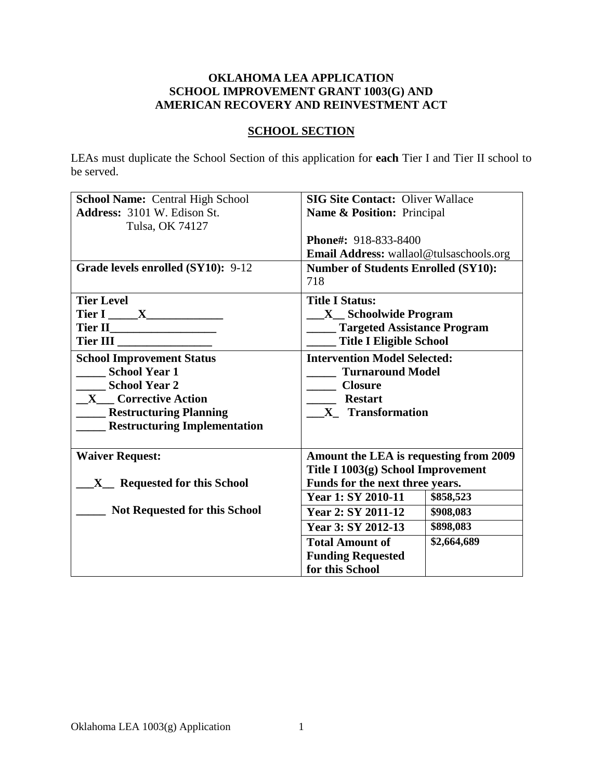### **OKLAHOMA LEA APPLICATION SCHOOL IMPROVEMENT GRANT 1003(G) AND AMERICAN RECOVERY AND REINVESTMENT ACT**

### **SCHOOL SECTION**

LEAs must duplicate the School Section of this application for **each** Tier I and Tier II school to be served.

| <b>School Name: Central High School</b> | <b>SIG Site Contact: Oliver Wallace</b>    |             |  |
|-----------------------------------------|--------------------------------------------|-------------|--|
| Address: 3101 W. Edison St.             | Name & Position: Principal                 |             |  |
| Tulsa, OK 74127                         |                                            |             |  |
|                                         | Phone#: 918-833-8400                       |             |  |
|                                         | Email Address: wallaol@tulsaschools.org    |             |  |
| Grade levels enrolled (SY10): 9-12      | <b>Number of Students Enrolled (SY10):</b> |             |  |
|                                         | 718                                        |             |  |
| <b>Tier Level</b>                       | <b>Title I Status:</b>                     |             |  |
|                                         | <b>X</b> Schoolwide Program                |             |  |
|                                         | <b>Targeted Assistance Program</b>         |             |  |
| Tier III                                | <b>Title I Eligible School</b>             |             |  |
| <b>School Improvement Status</b>        | <b>Intervention Model Selected:</b>        |             |  |
| <b>School Year 1</b>                    | <b>Turnaround Model</b>                    |             |  |
| <b>School Year 2</b>                    | <b>Closure</b>                             |             |  |
| <b>X</b> Corrective Action              | <b>Restart</b>                             |             |  |
| <b>Restructuring Planning</b>           | X Transformation                           |             |  |
| <b>Restructuring Implementation</b>     |                                            |             |  |
|                                         |                                            |             |  |
| <b>Waiver Request:</b>                  | Amount the LEA is requesting from 2009     |             |  |
|                                         | Title I 1003(g) School Improvement         |             |  |
| X_ Requested for this School            | Funds for the next three years.            |             |  |
|                                         | Year 1: SY 2010-11                         | \$858,523   |  |
| <b>Not Requested for this School</b>    | Year 2: SY 2011-12                         | \$908,083   |  |
|                                         | Year 3: SY 2012-13                         | \$898,083   |  |
|                                         | <b>Total Amount of</b>                     | \$2,664,689 |  |
|                                         | <b>Funding Requested</b>                   |             |  |
|                                         | for this School                            |             |  |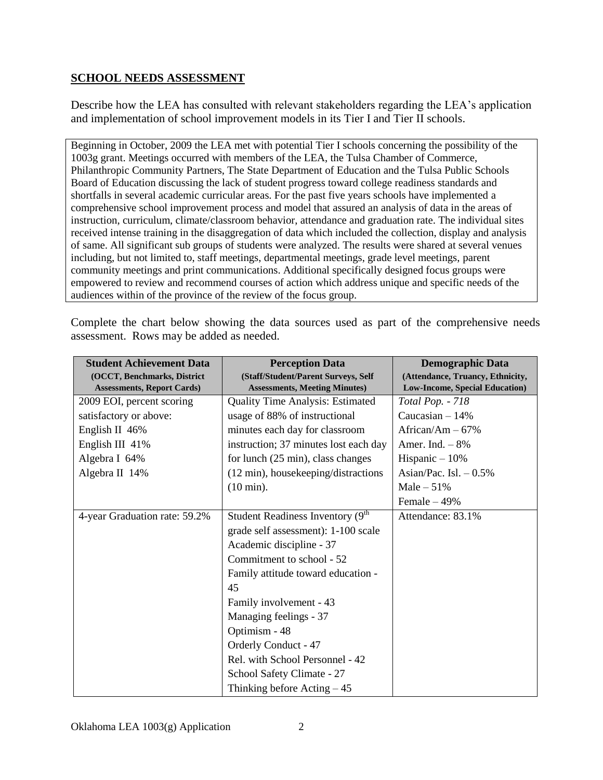### **SCHOOL NEEDS ASSESSMENT**

Describe how the LEA has consulted with relevant stakeholders regarding the LEA's application and implementation of school improvement models in its Tier I and Tier II schools.

Beginning in October, 2009 the LEA met with potential Tier I schools concerning the possibility of the 1003g grant. Meetings occurred with members of the LEA, the Tulsa Chamber of Commerce, Philanthropic Community Partners, The State Department of Education and the Tulsa Public Schools Board of Education discussing the lack of student progress toward college readiness standards and shortfalls in several academic curricular areas. For the past five years schools have implemented a comprehensive school improvement process and model that assured an analysis of data in the areas of instruction, curriculum, climate/classroom behavior, attendance and graduation rate. The individual sites received intense training in the disaggregation of data which included the collection, display and analysis of same. All significant sub groups of students were analyzed. The results were shared at several venues including, but not limited to, staff meetings, departmental meetings, grade level meetings, parent community meetings and print communications. Additional specifically designed focus groups were empowered to review and recommend courses of action which address unique and specific needs of the audiences within of the province of the review of the focus group.

Complete the chart below showing the data sources used as part of the comprehensive needs assessment. Rows may be added as needed.

| <b>Student Achievement Data</b>   | <b>Perception Data</b>                         | <b>Demographic Data</b>               |
|-----------------------------------|------------------------------------------------|---------------------------------------|
| (OCCT, Benchmarks, District       | (Staff/Student/Parent Surveys, Self            | (Attendance, Truancy, Ethnicity,      |
| <b>Assessments, Report Cards)</b> | <b>Assessments, Meeting Minutes)</b>           | <b>Low-Income, Special Education)</b> |
| 2009 EOI, percent scoring         | <b>Quality Time Analysis: Estimated</b>        | <b>Total Pop. - 718</b>               |
| satisfactory or above:            | usage of 88% of instructional                  | Caucasian $-14%$                      |
| English II $46\%$                 | minutes each day for classroom                 | African/Am $-67%$                     |
| English III 41%                   | instruction; 37 minutes lost each day          | Amer. Ind. $-8%$                      |
| Algebra I 64%                     | for lunch (25 min), class changes              | Hispanic $-10%$                       |
| Algebra II 14%                    | (12 min), housekeeping/distractions            | Asian/Pac. Isl. $-0.5\%$              |
|                                   | $(10 \text{ min}).$                            | Male $-51%$                           |
|                                   |                                                | Female $-49%$                         |
| 4-year Graduation rate: 59.2%     | Student Readiness Inventory (9 <sup>th</sup> ) | Attendance: 83.1%                     |
|                                   | grade self assessment): 1-100 scale            |                                       |
|                                   | Academic discipline - 37                       |                                       |
|                                   | Commitment to school - 52                      |                                       |
|                                   | Family attitude toward education -             |                                       |
|                                   | 45                                             |                                       |
|                                   | Family involvement - 43                        |                                       |
|                                   | Managing feelings - 37                         |                                       |
|                                   | Optimism - 48                                  |                                       |
|                                   | <b>Orderly Conduct - 47</b>                    |                                       |
|                                   | Rel. with School Personnel - 42                |                                       |
|                                   | School Safety Climate - 27                     |                                       |
|                                   | Thinking before $Acting-45$                    |                                       |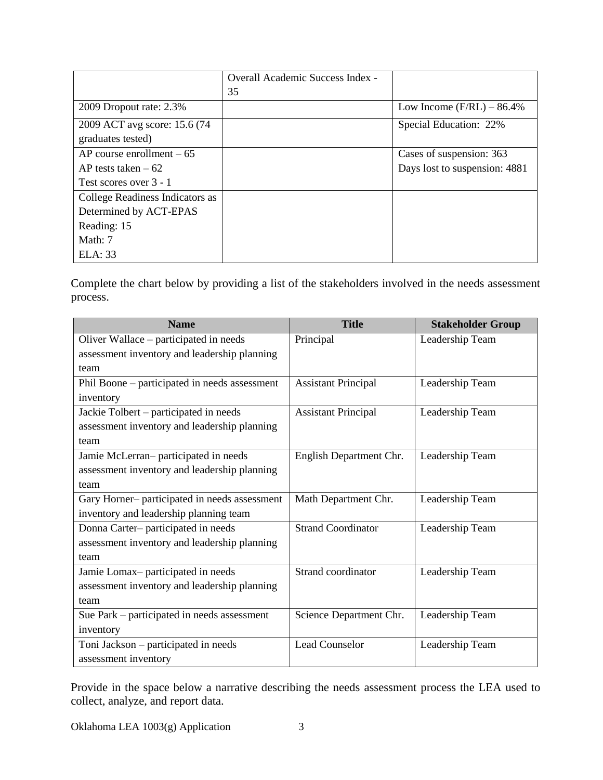|                                 | Overall Academic Success Index - |                               |
|---------------------------------|----------------------------------|-------------------------------|
|                                 | 35                               |                               |
| 2009 Dropout rate: 2.3%         |                                  | Low Income $(F/RL) - 86.4\%$  |
| 2009 ACT avg score: 15.6 (74)   |                                  | Special Education: 22%        |
| graduates tested)               |                                  |                               |
| $AP$ course enrollment $-65$    |                                  | Cases of suspension: 363      |
| AP tests taken $-62$            |                                  | Days lost to suspension: 4881 |
| Test scores over 3 - 1          |                                  |                               |
| College Readiness Indicators as |                                  |                               |
| Determined by ACT-EPAS          |                                  |                               |
| Reading: 15                     |                                  |                               |
| Math: 7                         |                                  |                               |
| ELA: 33                         |                                  |                               |

Complete the chart below by providing a list of the stakeholders involved in the needs assessment process.

| <b>Name</b>                                   | <b>Title</b>               | <b>Stakeholder Group</b> |
|-----------------------------------------------|----------------------------|--------------------------|
| Oliver Wallace – participated in needs        | Principal                  | Leadership Team          |
| assessment inventory and leadership planning  |                            |                          |
| team                                          |                            |                          |
| Phil Boone – participated in needs assessment | <b>Assistant Principal</b> | Leadership Team          |
| inventory                                     |                            |                          |
| Jackie Tolbert – participated in needs        | <b>Assistant Principal</b> | Leadership Team          |
| assessment inventory and leadership planning  |                            |                          |
| team                                          |                            |                          |
| Jamie McLerran-participated in needs          | English Department Chr.    | Leadership Team          |
| assessment inventory and leadership planning  |                            |                          |
| team                                          |                            |                          |
| Gary Horner- participated in needs assessment | Math Department Chr.       | Leadership Team          |
| inventory and leadership planning team        |                            |                          |
| Donna Carter-participated in needs            | <b>Strand Coordinator</b>  | Leadership Team          |
| assessment inventory and leadership planning  |                            |                          |
| team                                          |                            |                          |
| Jamie Lomax-participated in needs             | Strand coordinator         | Leadership Team          |
| assessment inventory and leadership planning  |                            |                          |
| team                                          |                            |                          |
| Sue Park – participated in needs assessment   | Science Department Chr.    | Leadership Team          |
| inventory                                     |                            |                          |
| Toni Jackson - participated in needs          | <b>Lead Counselor</b>      | Leadership Team          |
| assessment inventory                          |                            |                          |

Provide in the space below a narrative describing the needs assessment process the LEA used to collect, analyze, and report data.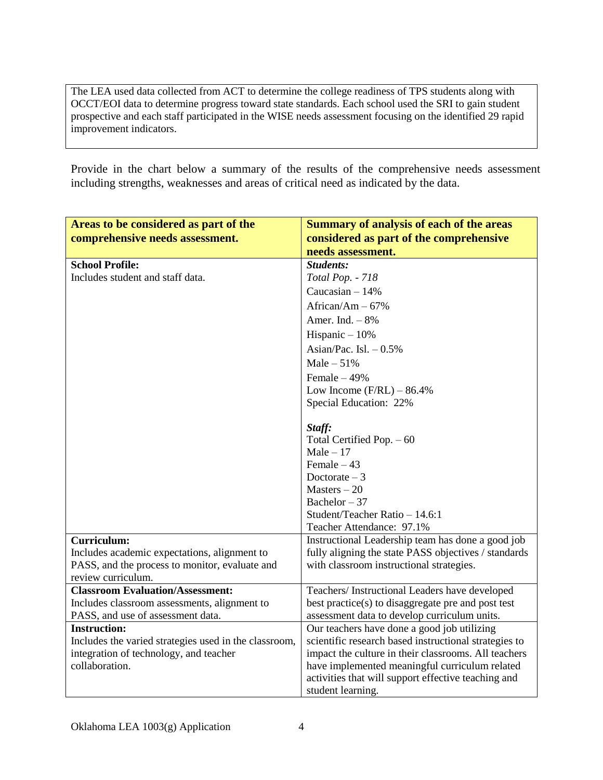The LEA used data collected from ACT to determine the college readiness of TPS students along with OCCT/EOI data to determine progress toward state standards. Each school used the SRI to gain student prospective and each staff participated in the WISE needs assessment focusing on the identified 29 rapid improvement indicators.

Provide in the chart below a summary of the results of the comprehensive needs assessment including strengths, weaknesses and areas of critical need as indicated by the data.

| Areas to be considered as part of the                    | <b>Summary of analysis of each of the areas</b>                                             |
|----------------------------------------------------------|---------------------------------------------------------------------------------------------|
| comprehensive needs assessment.                          | considered as part of the comprehensive                                                     |
|                                                          | needs assessment.                                                                           |
| <b>School Profile:</b>                                   | Students:                                                                                   |
| Includes student and staff data.                         | Total Pop. - 718                                                                            |
|                                                          | Caucasian $-14%$                                                                            |
|                                                          | African/Am $-67%$                                                                           |
|                                                          | Amer. Ind. $-8\%$                                                                           |
|                                                          | Hispanic $-10%$                                                                             |
|                                                          | Asian/Pac. Isl. $-0.5\%$                                                                    |
|                                                          | Male $-51%$                                                                                 |
|                                                          | Female $-49%$                                                                               |
|                                                          | Low Income $(F/RL) - 86.4%$                                                                 |
|                                                          | Special Education: 22%                                                                      |
|                                                          |                                                                                             |
|                                                          | Staff:                                                                                      |
|                                                          | Total Certified Pop. - 60                                                                   |
|                                                          | $Male - 17$<br>Female $-43$                                                                 |
|                                                          | Doctorate $-3$                                                                              |
|                                                          | $Masters - 20$                                                                              |
|                                                          | Bachelor $-37$                                                                              |
|                                                          | Student/Teacher Ratio - 14.6:1                                                              |
|                                                          | Teacher Attendance: 97.1%                                                                   |
| Curriculum:                                              | Instructional Leadership team has done a good job                                           |
| Includes academic expectations, alignment to             | fully aligning the state PASS objectives / standards                                        |
| PASS, and the process to monitor, evaluate and           | with classroom instructional strategies.                                                    |
| review curriculum.                                       |                                                                                             |
| <b>Classroom Evaluation/Assessment:</b>                  | Teachers/Instructional Leaders have developed                                               |
| Includes classroom assessments, alignment to             | best practice(s) to disaggregate pre and post test                                          |
| PASS, and use of assessment data.<br><b>Instruction:</b> | assessment data to develop curriculum units.<br>Our teachers have done a good job utilizing |
| Includes the varied strategies used in the classroom,    | scientific research based instructional strategies to                                       |
| integration of technology, and teacher                   | impact the culture in their classrooms. All teachers                                        |
| collaboration.                                           | have implemented meaningful curriculum related                                              |
|                                                          | activities that will support effective teaching and                                         |
|                                                          | student learning.                                                                           |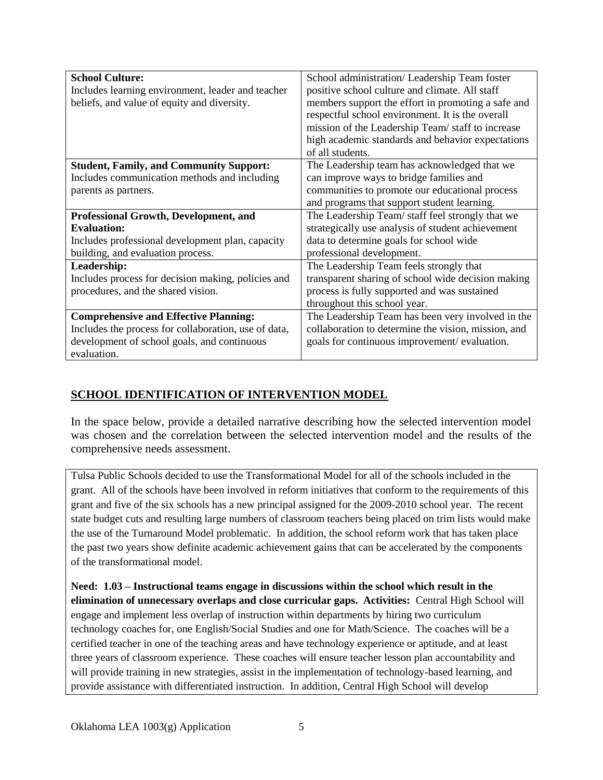| <b>School Culture:</b>                               | School administration/ Leadership Team foster       |
|------------------------------------------------------|-----------------------------------------------------|
| Includes learning environment, leader and teacher    | positive school culture and climate. All staff      |
| beliefs, and value of equity and diversity.          | members support the effort in promoting a safe and  |
|                                                      | respectful school environment. It is the overall    |
|                                                      | mission of the Leadership Team/staff to increase    |
|                                                      | high academic standards and behavior expectations   |
|                                                      | of all students.                                    |
| <b>Student, Family, and Community Support:</b>       | The Leadership team has acknowledged that we        |
| Includes communication methods and including         | can improve ways to bridge families and             |
| parents as partners.                                 | communities to promote our educational process      |
|                                                      | and programs that support student learning.         |
| <b>Professional Growth, Development, and</b>         | The Leadership Team/ staff feel strongly that we    |
| Evaluation:                                          | strategically use analysis of student achievement   |
| Includes professional development plan, capacity     | data to determine goals for school wide             |
| building, and evaluation process.                    | professional development.                           |
| Leadership:                                          | The Leadership Team feels strongly that             |
| Includes process for decision making, policies and   | transparent sharing of school wide decision making  |
| procedures, and the shared vision.                   | process is fully supported and was sustained        |
|                                                      | throughout this school year.                        |
| <b>Comprehensive and Effective Planning:</b>         | The Leadership Team has been very involved in the   |
| Includes the process for collaboration, use of data, | collaboration to determine the vision, mission, and |
| development of school goals, and continuous          | goals for continuous improvement/ evaluation.       |
| evaluation.                                          |                                                     |

# **SCHOOL IDENTIFICATION OF INTERVENTION MODEL**

In the space below, provide a detailed narrative describing how the selected intervention model was chosen and the correlation between the selected intervention model and the results of the comprehensive needs assessment.

Tulsa Public Schools decided to use the Transformational Model for all of the schools included in the grant. All of the schools have been involved in reform initiatives that conform to the requirements of this grant and five of the six schools has a new principal assigned for the 2009-2010 school year. The recent state budget cuts and resulting large numbers of classroom teachers being placed on trim lists would make the use of the Turnaround Model problematic. In addition, the school reform work that has taken place the past two years show definite academic achievement gains that can be accelerated by the components of the transformational model.

**Need: 1.03 – Instructional teams engage in discussions within the school which result in the elimination of unnecessary overlaps and close curricular gaps. Activities:** Central High School will engage and implement less overlap of instruction within departments by hiring two curriculum technology coaches for, one English/Social Studies and one for Math/Science. The coaches will be a certified teacher in one of the teaching areas and have technology experience or aptitude, and at least three years of classroom experience. These coaches will ensure teacher lesson plan accountability and will provide training in new strategies, assist in the implementation of technology-based learning, and provide assistance with differentiated instruction. In addition, Central High School will develop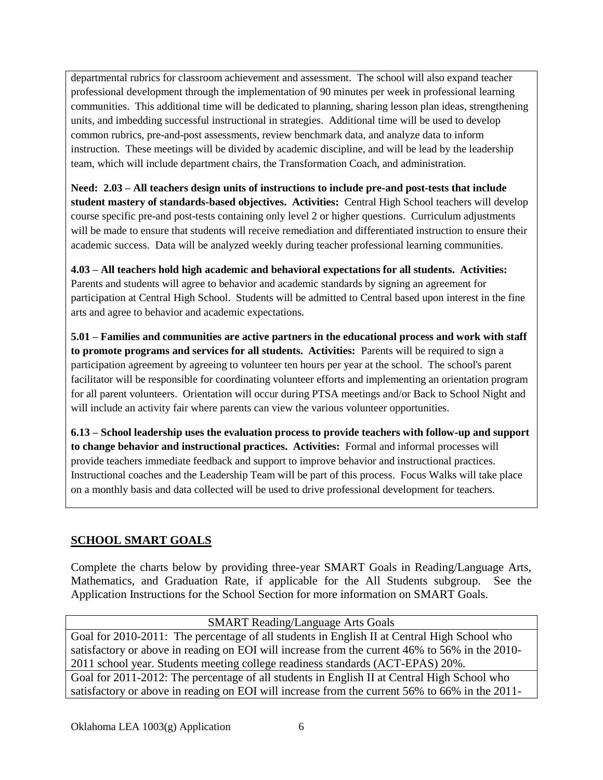departmental rubrics for classroom achievement and assessment. The school will also expand teacher professional development through the implementation of 90 minutes per week in professional learning communities. This additional time will be dedicated to planning, sharing lesson plan ideas, strengthening units, and imbedding successful instructional in strategies. Additional time will be used to develop common rubrics, pre-and-post assessments, review benchmark data, and analyze data to inform instruction. These meetings will be divided by academic discipline, and will be lead by the leadership team, which will include department chairs, the Transformation Coach, and administration.

**Need: 2.03 – All teachers design units of instructions to include pre-and post-tests that include student mastery of standards-based objectives. Activities:** Central High School teachers will develop course specific pre-and post-tests containing only level 2 or higher questions. Curriculum adjustments will be made to ensure that students will receive remediation and differentiated instruction to ensure their academic success. Data will be analyzed weekly during teacher professional learning communities.

**4.03 – All teachers hold high academic and behavioral expectations for all students. Activities:** Parents and students will agree to behavior and academic standards by signing an agreement for participation at Central High School. Students will be admitted to Central based upon interest in the fine arts and agree to behavior and academic expectations.

**5.01 – Families and communities are active partners in the educational process and work with staff to promote programs and services for all students. Activities:** Parents will be required to sign a participation agreement by agreeing to volunteer ten hours per year at the school. The school's parent facilitator will be responsible for coordinating volunteer efforts and implementing an orientation program for all parent volunteers. Orientation will occur during PTSA meetings and/or Back to School Night and will include an activity fair where parents can view the various volunteer opportunities.

**6.13 – School leadership uses the evaluation process to provide teachers with follow-up and support to change behavior and instructional practices. Activities:** Formal and informal processes will provide teachers immediate feedback and support to improve behavior and instructional practices. Instructional coaches and the Leadership Team will be part of this process. Focus Walks will take place on a monthly basis and data collected will be used to drive professional development for teachers.

## **SCHOOL SMART GOALS**

Complete the charts below by providing three-year SMART Goals in Reading/Language Arts, Mathematics, and Graduation Rate, if applicable for the All Students subgroup. See the Application Instructions for the School Section for more information on SMART Goals.

SMART Reading/Language Arts Goals Goal for 2010-2011: The percentage of all students in English II at Central High School who satisfactory or above in reading on EOI will increase from the current 46% to 56% in the 2010- 2011 school year. Students meeting college readiness standards (ACT-EPAS) 20%. Goal for 2011-2012: The percentage of all students in English II at Central High School who satisfactory or above in reading on EOI will increase from the current 56% to 66% in the 2011-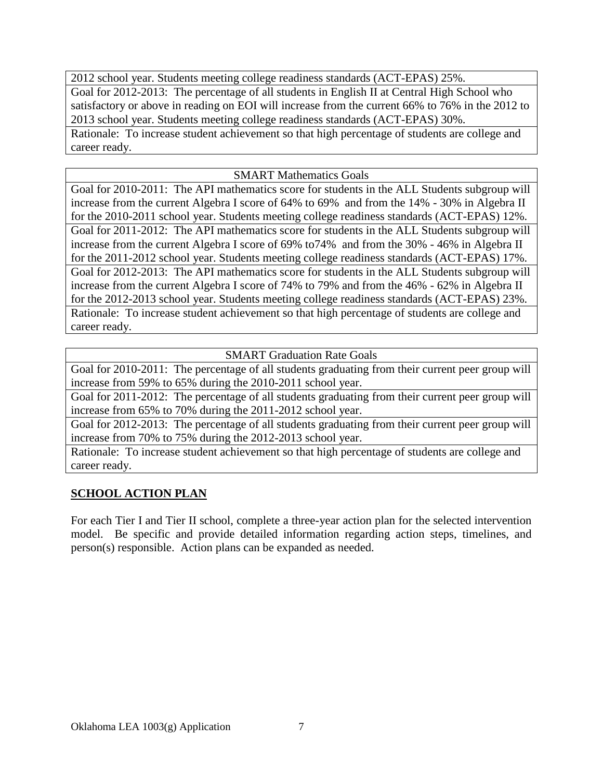2012 school year. Students meeting college readiness standards (ACT-EPAS) 25%. Goal for 2012-2013: The percentage of all students in English II at Central High School who satisfactory or above in reading on EOI will increase from the current 66% to 76% in the 2012 to 2013 school year. Students meeting college readiness standards (ACT-EPAS) 30%. Rationale: To increase student achievement so that high percentage of students are college and career ready.

SMART Mathematics Goals

Goal for 2010-2011: The API mathematics score for students in the ALL Students subgroup will increase from the current Algebra I score of 64% to 69% and from the 14% - 30% in Algebra II for the 2010-2011 school year. Students meeting college readiness standards (ACT-EPAS) 12%. Goal for 2011-2012: The API mathematics score for students in the ALL Students subgroup will increase from the current Algebra I score of 69% to74% and from the 30% - 46% in Algebra II for the 2011-2012 school year. Students meeting college readiness standards (ACT-EPAS) 17%. Goal for 2012-2013: The API mathematics score for students in the ALL Students subgroup will increase from the current Algebra I score of 74% to 79% and from the 46% - 62% in Algebra II for the 2012-2013 school year. Students meeting college readiness standards (ACT-EPAS) 23%. Rationale: To increase student achievement so that high percentage of students are college and career ready.

SMART Graduation Rate Goals

Goal for 2010-2011: The percentage of all students graduating from their current peer group will increase from 59% to 65% during the 2010-2011 school year.

Goal for 2011-2012: The percentage of all students graduating from their current peer group will increase from 65% to 70% during the 2011-2012 school year.

Goal for 2012-2013: The percentage of all students graduating from their current peer group will increase from 70% to 75% during the 2012-2013 school year.

Rationale: To increase student achievement so that high percentage of students are college and career ready.

### **SCHOOL ACTION PLAN**

For each Tier I and Tier II school, complete a three-year action plan for the selected intervention model. Be specific and provide detailed information regarding action steps, timelines, and person(s) responsible. Action plans can be expanded as needed.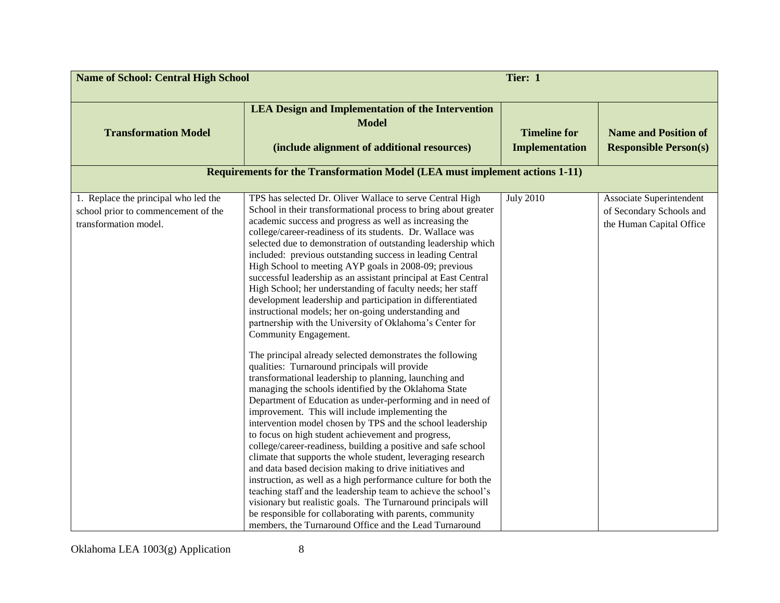| <b>Name of School: Central High School</b>                                                           |                                                                                                                                                                                                                                                                                                                                                                                                                                                                                                                                                                                                                                                                                                                                                                                                                                                                                                                                                                                                                                                                                                                                                                                                                                                                                                                                                                                                                                                                                                                                                                                                                                                                                                                                                                                       | Tier: 1                                      |                                                                                  |
|------------------------------------------------------------------------------------------------------|---------------------------------------------------------------------------------------------------------------------------------------------------------------------------------------------------------------------------------------------------------------------------------------------------------------------------------------------------------------------------------------------------------------------------------------------------------------------------------------------------------------------------------------------------------------------------------------------------------------------------------------------------------------------------------------------------------------------------------------------------------------------------------------------------------------------------------------------------------------------------------------------------------------------------------------------------------------------------------------------------------------------------------------------------------------------------------------------------------------------------------------------------------------------------------------------------------------------------------------------------------------------------------------------------------------------------------------------------------------------------------------------------------------------------------------------------------------------------------------------------------------------------------------------------------------------------------------------------------------------------------------------------------------------------------------------------------------------------------------------------------------------------------------|----------------------------------------------|----------------------------------------------------------------------------------|
| <b>Transformation Model</b>                                                                          | <b>LEA Design and Implementation of the Intervention</b><br><b>Model</b><br>(include alignment of additional resources)                                                                                                                                                                                                                                                                                                                                                                                                                                                                                                                                                                                                                                                                                                                                                                                                                                                                                                                                                                                                                                                                                                                                                                                                                                                                                                                                                                                                                                                                                                                                                                                                                                                               | <b>Timeline for</b><br><b>Implementation</b> | <b>Name and Position of</b><br><b>Responsible Person(s)</b>                      |
|                                                                                                      | <b>Requirements for the Transformation Model (LEA must implement actions 1-11)</b>                                                                                                                                                                                                                                                                                                                                                                                                                                                                                                                                                                                                                                                                                                                                                                                                                                                                                                                                                                                                                                                                                                                                                                                                                                                                                                                                                                                                                                                                                                                                                                                                                                                                                                    |                                              |                                                                                  |
| 1. Replace the principal who led the<br>school prior to commencement of the<br>transformation model. | TPS has selected Dr. Oliver Wallace to serve Central High<br>School in their transformational process to bring about greater<br>academic success and progress as well as increasing the<br>college/career-readiness of its students. Dr. Wallace was<br>selected due to demonstration of outstanding leadership which<br>included: previous outstanding success in leading Central<br>High School to meeting AYP goals in 2008-09; previous<br>successful leadership as an assistant principal at East Central<br>High School; her understanding of faculty needs; her staff<br>development leadership and participation in differentiated<br>instructional models; her on-going understanding and<br>partnership with the University of Oklahoma's Center for<br>Community Engagement.<br>The principal already selected demonstrates the following<br>qualities: Turnaround principals will provide<br>transformational leadership to planning, launching and<br>managing the schools identified by the Oklahoma State<br>Department of Education as under-performing and in need of<br>improvement. This will include implementing the<br>intervention model chosen by TPS and the school leadership<br>to focus on high student achievement and progress,<br>college/career-readiness, building a positive and safe school<br>climate that supports the whole student, leveraging research<br>and data based decision making to drive initiatives and<br>instruction, as well as a high performance culture for both the<br>teaching staff and the leadership team to achieve the school's<br>visionary but realistic goals. The Turnaround principals will<br>be responsible for collaborating with parents, community<br>members, the Turnaround Office and the Lead Turnaround | <b>July 2010</b>                             | Associate Superintendent<br>of Secondary Schools and<br>the Human Capital Office |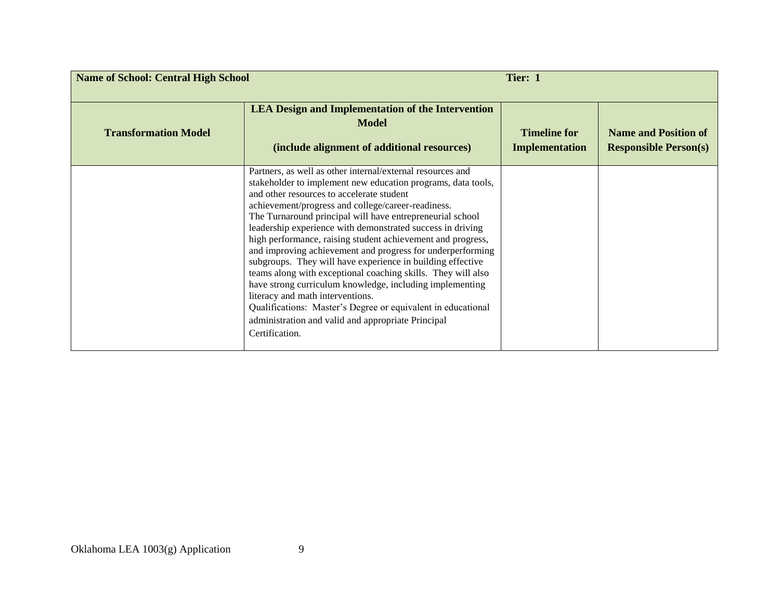| <b>Name of School: Central High School</b> |                                                                                                                                                                                                                                                                                                                                                                                                                                                                                                                                                                                                                                                                                                                                                                                                                                                             | Tier: 1                                      |                                                             |
|--------------------------------------------|-------------------------------------------------------------------------------------------------------------------------------------------------------------------------------------------------------------------------------------------------------------------------------------------------------------------------------------------------------------------------------------------------------------------------------------------------------------------------------------------------------------------------------------------------------------------------------------------------------------------------------------------------------------------------------------------------------------------------------------------------------------------------------------------------------------------------------------------------------------|----------------------------------------------|-------------------------------------------------------------|
| <b>Transformation Model</b>                | <b>LEA Design and Implementation of the Intervention</b><br><b>Model</b><br>(include alignment of additional resources)                                                                                                                                                                                                                                                                                                                                                                                                                                                                                                                                                                                                                                                                                                                                     | <b>Timeline for</b><br><b>Implementation</b> | <b>Name and Position of</b><br><b>Responsible Person(s)</b> |
|                                            | Partners, as well as other internal/external resources and<br>stakeholder to implement new education programs, data tools,<br>and other resources to accelerate student<br>achievement/progress and college/career-readiness.<br>The Turnaround principal will have entrepreneurial school<br>leadership experience with demonstrated success in driving<br>high performance, raising student achievement and progress,<br>and improving achievement and progress for underperforming<br>subgroups. They will have experience in building effective<br>teams along with exceptional coaching skills. They will also<br>have strong curriculum knowledge, including implementing<br>literacy and math interventions.<br>Qualifications: Master's Degree or equivalent in educational<br>administration and valid and appropriate Principal<br>Certification. |                                              |                                                             |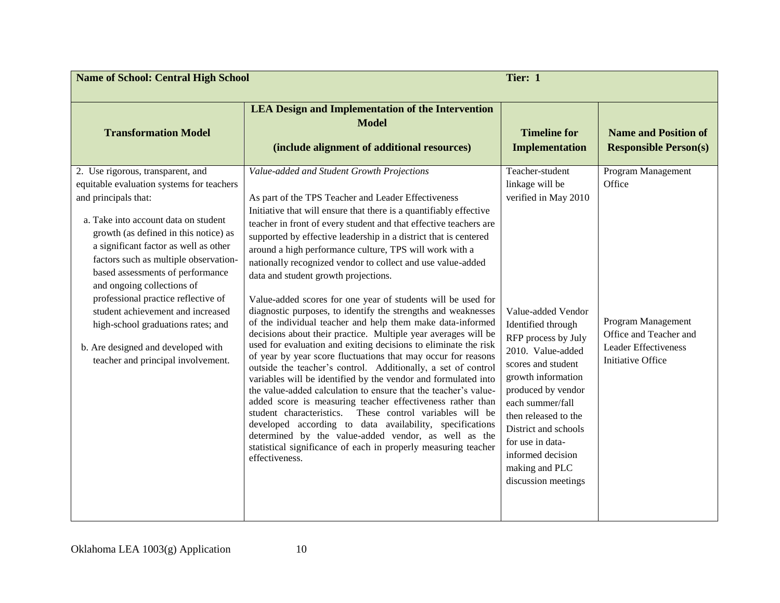| <b>Name of School: Central High School</b>                                                                                                                                                                                                                                                                                                                                                                                                                                                                                                |                                                                                                                                                                                                                                                                                                                                                                                                                                                                                                                                                                                                                                                                                                                                                                                                                                                                                                                                                                                                                                                                                                                                                                                                                                                                                                                                                                                                                                 | Tier: 1                                                                                                                                                                                                                                                                                                                                                                    |                                                                                                                                  |
|-------------------------------------------------------------------------------------------------------------------------------------------------------------------------------------------------------------------------------------------------------------------------------------------------------------------------------------------------------------------------------------------------------------------------------------------------------------------------------------------------------------------------------------------|---------------------------------------------------------------------------------------------------------------------------------------------------------------------------------------------------------------------------------------------------------------------------------------------------------------------------------------------------------------------------------------------------------------------------------------------------------------------------------------------------------------------------------------------------------------------------------------------------------------------------------------------------------------------------------------------------------------------------------------------------------------------------------------------------------------------------------------------------------------------------------------------------------------------------------------------------------------------------------------------------------------------------------------------------------------------------------------------------------------------------------------------------------------------------------------------------------------------------------------------------------------------------------------------------------------------------------------------------------------------------------------------------------------------------------|----------------------------------------------------------------------------------------------------------------------------------------------------------------------------------------------------------------------------------------------------------------------------------------------------------------------------------------------------------------------------|----------------------------------------------------------------------------------------------------------------------------------|
| <b>Transformation Model</b>                                                                                                                                                                                                                                                                                                                                                                                                                                                                                                               | <b>LEA Design and Implementation of the Intervention</b><br><b>Model</b><br>(include alignment of additional resources)                                                                                                                                                                                                                                                                                                                                                                                                                                                                                                                                                                                                                                                                                                                                                                                                                                                                                                                                                                                                                                                                                                                                                                                                                                                                                                         | <b>Timeline for</b><br><b>Implementation</b>                                                                                                                                                                                                                                                                                                                               | <b>Name and Position of</b><br><b>Responsible Person(s)</b>                                                                      |
| 2. Use rigorous, transparent, and<br>equitable evaluation systems for teachers<br>and principals that:<br>a. Take into account data on student<br>growth (as defined in this notice) as<br>a significant factor as well as other<br>factors such as multiple observation-<br>based assessments of performance<br>and ongoing collections of<br>professional practice reflective of<br>student achievement and increased<br>high-school graduations rates; and<br>b. Are designed and developed with<br>teacher and principal involvement. | Value-added and Student Growth Projections<br>As part of the TPS Teacher and Leader Effectiveness<br>Initiative that will ensure that there is a quantifiably effective<br>teacher in front of every student and that effective teachers are<br>supported by effective leadership in a district that is centered<br>around a high performance culture, TPS will work with a<br>nationally recognized vendor to collect and use value-added<br>data and student growth projections.<br>Value-added scores for one year of students will be used for<br>diagnostic purposes, to identify the strengths and weaknesses<br>of the individual teacher and help them make data-informed<br>decisions about their practice. Multiple year averages will be<br>used for evaluation and exiting decisions to eliminate the risk<br>of year by year score fluctuations that may occur for reasons<br>outside the teacher's control. Additionally, a set of control<br>variables will be identified by the vendor and formulated into<br>the value-added calculation to ensure that the teacher's value-<br>added score is measuring teacher effectiveness rather than<br>student characteristics. These control variables will be<br>developed according to data availability, specifications<br>determined by the value-added vendor, as well as the<br>statistical significance of each in properly measuring teacher<br>effectiveness. | Teacher-student<br>linkage will be<br>verified in May 2010<br>Value-added Vendor<br>Identified through<br>RFP process by July<br>2010. Value-added<br>scores and student<br>growth information<br>produced by vendor<br>each summer/fall<br>then released to the<br>District and schools<br>for use in data-<br>informed decision<br>making and PLC<br>discussion meetings | Program Management<br>Office<br>Program Management<br>Office and Teacher and<br><b>Leader Effectiveness</b><br>Initiative Office |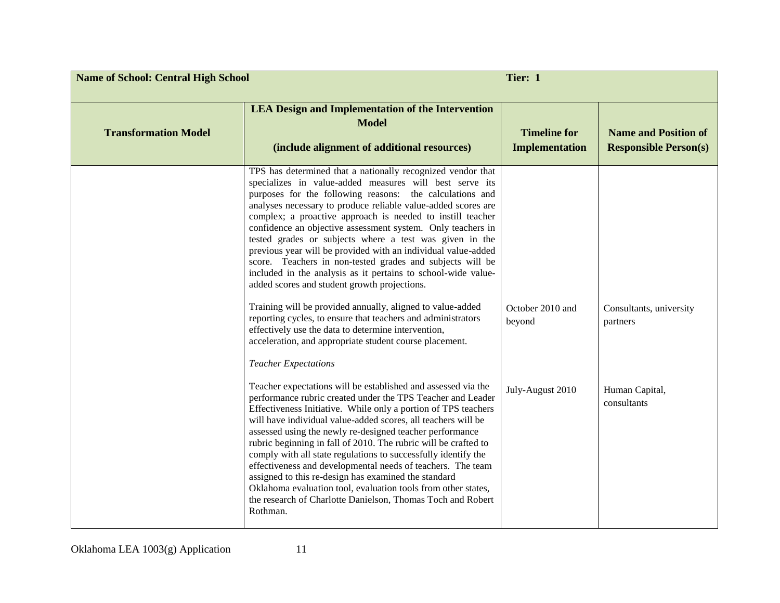| Tier: 1<br><b>Name of School: Central High School</b> |                                                                                                                                                                                                                                                                                                                                                                                                                                                                                                                                                                                                                                                                                                                                                                                                                                                                                 |                                              |                                                             |
|-------------------------------------------------------|---------------------------------------------------------------------------------------------------------------------------------------------------------------------------------------------------------------------------------------------------------------------------------------------------------------------------------------------------------------------------------------------------------------------------------------------------------------------------------------------------------------------------------------------------------------------------------------------------------------------------------------------------------------------------------------------------------------------------------------------------------------------------------------------------------------------------------------------------------------------------------|----------------------------------------------|-------------------------------------------------------------|
| <b>Transformation Model</b>                           | <b>LEA Design and Implementation of the Intervention</b><br><b>Model</b><br>(include alignment of additional resources)                                                                                                                                                                                                                                                                                                                                                                                                                                                                                                                                                                                                                                                                                                                                                         | <b>Timeline for</b><br><b>Implementation</b> | <b>Name and Position of</b><br><b>Responsible Person(s)</b> |
|                                                       | TPS has determined that a nationally recognized vendor that<br>specializes in value-added measures will best serve its<br>purposes for the following reasons: the calculations and<br>analyses necessary to produce reliable value-added scores are<br>complex; a proactive approach is needed to instill teacher<br>confidence an objective assessment system. Only teachers in<br>tested grades or subjects where a test was given in the<br>previous year will be provided with an individual value-added<br>score. Teachers in non-tested grades and subjects will be<br>included in the analysis as it pertains to school-wide value-<br>added scores and student growth projections.<br>Training will be provided annually, aligned to value-added<br>reporting cycles, to ensure that teachers and administrators<br>effectively use the data to determine intervention, | October 2010 and<br>beyond                   | Consultants, university<br>partners                         |
|                                                       | acceleration, and appropriate student course placement.<br><b>Teacher Expectations</b><br>Teacher expectations will be established and assessed via the<br>performance rubric created under the TPS Teacher and Leader<br>Effectiveness Initiative. While only a portion of TPS teachers<br>will have individual value-added scores, all teachers will be<br>assessed using the newly re-designed teacher performance<br>rubric beginning in fall of 2010. The rubric will be crafted to<br>comply with all state regulations to successfully identify the<br>effectiveness and developmental needs of teachers. The team<br>assigned to this re-design has examined the standard<br>Oklahoma evaluation tool, evaluation tools from other states,<br>the research of Charlotte Danielson, Thomas Toch and Robert<br>Rothman.                                                   | July-August 2010                             | Human Capital,<br>consultants                               |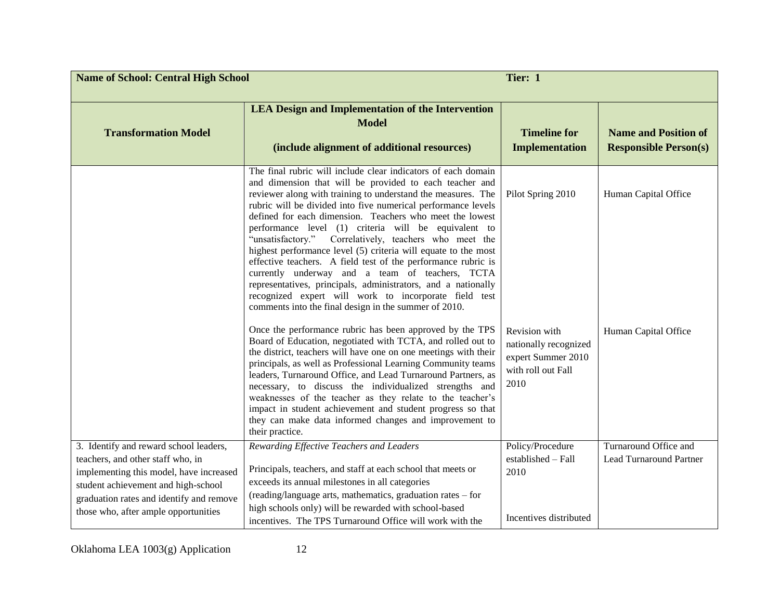| <b>Name of School: Central High School</b>                                                                                                                                                                                                        | Tier: 1                                                                                                                                                                                                                                                                                                                                                                                                                                                                                                                                                                                                                                                                                                                                                                                                          |                                                                                            |                                                             |
|---------------------------------------------------------------------------------------------------------------------------------------------------------------------------------------------------------------------------------------------------|------------------------------------------------------------------------------------------------------------------------------------------------------------------------------------------------------------------------------------------------------------------------------------------------------------------------------------------------------------------------------------------------------------------------------------------------------------------------------------------------------------------------------------------------------------------------------------------------------------------------------------------------------------------------------------------------------------------------------------------------------------------------------------------------------------------|--------------------------------------------------------------------------------------------|-------------------------------------------------------------|
| <b>Transformation Model</b>                                                                                                                                                                                                                       | <b>LEA Design and Implementation of the Intervention</b><br><b>Model</b><br>(include alignment of additional resources)                                                                                                                                                                                                                                                                                                                                                                                                                                                                                                                                                                                                                                                                                          | <b>Timeline for</b><br><b>Implementation</b>                                               | <b>Name and Position of</b><br><b>Responsible Person(s)</b> |
|                                                                                                                                                                                                                                                   | The final rubric will include clear indicators of each domain<br>and dimension that will be provided to each teacher and<br>reviewer along with training to understand the measures. The<br>rubric will be divided into five numerical performance levels<br>defined for each dimension. Teachers who meet the lowest<br>performance level (1) criteria will be equivalent to<br>"unsatisfactory." Correlatively, teachers who meet the<br>highest performance level (5) criteria will equate to the most<br>effective teachers. A field test of the performance rubric is<br>currently underway and a team of teachers, TCTA<br>representatives, principals, administrators, and a nationally<br>recognized expert will work to incorporate field test<br>comments into the final design in the summer of 2010. | Pilot Spring 2010                                                                          | Human Capital Office                                        |
|                                                                                                                                                                                                                                                   | Once the performance rubric has been approved by the TPS<br>Board of Education, negotiated with TCTA, and rolled out to<br>the district, teachers will have one on one meetings with their<br>principals, as well as Professional Learning Community teams<br>leaders, Turnaround Office, and Lead Turnaround Partners, as<br>necessary, to discuss the individualized strengths and<br>weaknesses of the teacher as they relate to the teacher's<br>impact in student achievement and student progress so that<br>they can make data informed changes and improvement to<br>their practice.                                                                                                                                                                                                                     | Revision with<br>nationally recognized<br>expert Summer 2010<br>with roll out Fall<br>2010 | Human Capital Office                                        |
| 3. Identify and reward school leaders,<br>teachers, and other staff who, in<br>implementing this model, have increased<br>student achievement and high-school<br>graduation rates and identify and remove<br>those who, after ample opportunities | Rewarding Effective Teachers and Leaders<br>Principals, teachers, and staff at each school that meets or<br>exceeds its annual milestones in all categories<br>(reading/language arts, mathematics, graduation rates - for<br>high schools only) will be rewarded with school-based<br>incentives. The TPS Turnaround Office will work with the                                                                                                                                                                                                                                                                                                                                                                                                                                                                  | Policy/Procedure<br>$estabilished - Fall$<br>2010<br>Incentives distributed                | Turnaround Office and<br><b>Lead Turnaround Partner</b>     |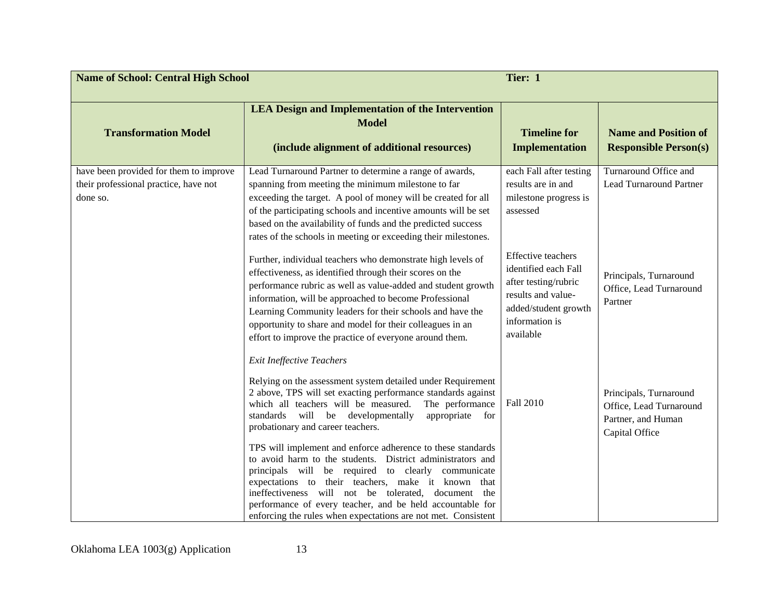| <b>Name of School: Central High School</b>                                                  |                                                                                                                                                                                                                                                                                                                                                                                                                                        | Tier: 1                                                                                                                                                |                                                                                           |
|---------------------------------------------------------------------------------------------|----------------------------------------------------------------------------------------------------------------------------------------------------------------------------------------------------------------------------------------------------------------------------------------------------------------------------------------------------------------------------------------------------------------------------------------|--------------------------------------------------------------------------------------------------------------------------------------------------------|-------------------------------------------------------------------------------------------|
| <b>Transformation Model</b>                                                                 | <b>LEA Design and Implementation of the Intervention</b><br><b>Model</b><br>(include alignment of additional resources)                                                                                                                                                                                                                                                                                                                | <b>Timeline for</b><br><b>Implementation</b>                                                                                                           | <b>Name and Position of</b><br><b>Responsible Person(s)</b>                               |
| have been provided for them to improve<br>their professional practice, have not<br>done so. | Lead Turnaround Partner to determine a range of awards,<br>spanning from meeting the minimum milestone to far<br>exceeding the target. A pool of money will be created for all<br>of the participating schools and incentive amounts will be set<br>based on the availability of funds and the predicted success<br>rates of the schools in meeting or exceeding their milestones.                                                     | each Fall after testing<br>results are in and<br>milestone progress is<br>assessed                                                                     | Turnaround Office and<br><b>Lead Turnaround Partner</b>                                   |
|                                                                                             | Further, individual teachers who demonstrate high levels of<br>effectiveness, as identified through their scores on the<br>performance rubric as well as value-added and student growth<br>information, will be approached to become Professional<br>Learning Community leaders for their schools and have the<br>opportunity to share and model for their colleagues in an<br>effort to improve the practice of everyone around them. | <b>Effective teachers</b><br>identified each Fall<br>after testing/rubric<br>results and value-<br>added/student growth<br>information is<br>available | Principals, Turnaround<br>Office, Lead Turnaround<br>Partner                              |
|                                                                                             | <b>Exit Ineffective Teachers</b><br>Relying on the assessment system detailed under Requirement<br>2 above, TPS will set exacting performance standards against<br>which all teachers will be measured.<br>The performance<br>standards will be developmentally<br>appropriate<br>for<br>probationary and career teachers.                                                                                                             | Fall 2010                                                                                                                                              | Principals, Turnaround<br>Office, Lead Turnaround<br>Partner, and Human<br>Capital Office |
|                                                                                             | TPS will implement and enforce adherence to these standards<br>to avoid harm to the students. District administrators and<br>principals will be required to clearly communicate<br>expectations to their teachers, make it known that<br>ineffectiveness will not be tolerated, document the<br>performance of every teacher, and be held accountable for<br>enforcing the rules when expectations are not met. Consistent             |                                                                                                                                                        |                                                                                           |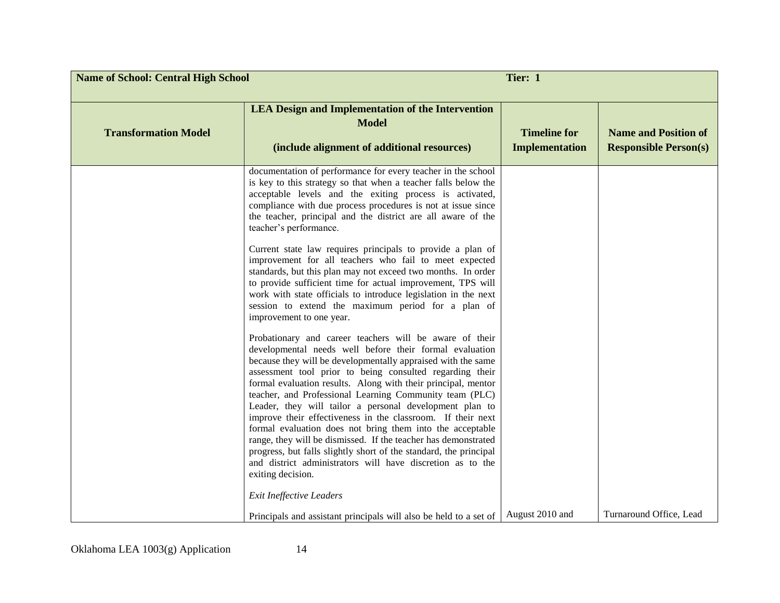| <b>Name of School: Central High School</b> | Tier: 1                                                                                                                                                                                                                                                                                                                                                                                                                                                                                                                                                                                                                                                                                                                                                                                     |                                              |                                                             |
|--------------------------------------------|---------------------------------------------------------------------------------------------------------------------------------------------------------------------------------------------------------------------------------------------------------------------------------------------------------------------------------------------------------------------------------------------------------------------------------------------------------------------------------------------------------------------------------------------------------------------------------------------------------------------------------------------------------------------------------------------------------------------------------------------------------------------------------------------|----------------------------------------------|-------------------------------------------------------------|
| <b>Transformation Model</b>                | <b>LEA Design and Implementation of the Intervention</b><br><b>Model</b><br>(include alignment of additional resources)                                                                                                                                                                                                                                                                                                                                                                                                                                                                                                                                                                                                                                                                     | <b>Timeline for</b><br><b>Implementation</b> | <b>Name and Position of</b><br><b>Responsible Person(s)</b> |
|                                            | documentation of performance for every teacher in the school<br>is key to this strategy so that when a teacher falls below the<br>acceptable levels and the exiting process is activated,<br>compliance with due process procedures is not at issue since<br>the teacher, principal and the district are all aware of the<br>teacher's performance.                                                                                                                                                                                                                                                                                                                                                                                                                                         |                                              |                                                             |
|                                            | Current state law requires principals to provide a plan of<br>improvement for all teachers who fail to meet expected<br>standards, but this plan may not exceed two months. In order<br>to provide sufficient time for actual improvement, TPS will<br>work with state officials to introduce legislation in the next<br>session to extend the maximum period for a plan of<br>improvement to one year.                                                                                                                                                                                                                                                                                                                                                                                     |                                              |                                                             |
|                                            | Probationary and career teachers will be aware of their<br>developmental needs well before their formal evaluation<br>because they will be developmentally appraised with the same<br>assessment tool prior to being consulted regarding their<br>formal evaluation results. Along with their principal, mentor<br>teacher, and Professional Learning Community team (PLC)<br>Leader, they will tailor a personal development plan to<br>improve their effectiveness in the classroom. If their next<br>formal evaluation does not bring them into the acceptable<br>range, they will be dismissed. If the teacher has demonstrated<br>progress, but falls slightly short of the standard, the principal<br>and district administrators will have discretion as to the<br>exiting decision. |                                              |                                                             |
|                                            | <b>Exit Ineffective Leaders</b>                                                                                                                                                                                                                                                                                                                                                                                                                                                                                                                                                                                                                                                                                                                                                             |                                              |                                                             |
|                                            | Principals and assistant principals will also be held to a set of                                                                                                                                                                                                                                                                                                                                                                                                                                                                                                                                                                                                                                                                                                                           | August 2010 and                              | Turnaround Office, Lead                                     |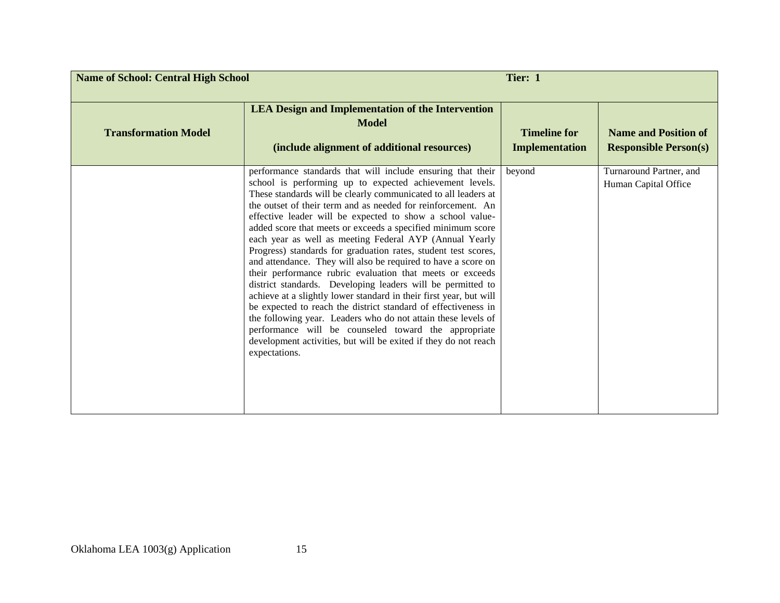| <b>Name of School: Central High School</b> |                                                                                                                                                                                                                                                                                                                                                                                                                                                                                                                                                                                                                                                                                                                                                                                                                                                                                                                                                                                                                                                                     | Tier: 1                                      |                                                             |
|--------------------------------------------|---------------------------------------------------------------------------------------------------------------------------------------------------------------------------------------------------------------------------------------------------------------------------------------------------------------------------------------------------------------------------------------------------------------------------------------------------------------------------------------------------------------------------------------------------------------------------------------------------------------------------------------------------------------------------------------------------------------------------------------------------------------------------------------------------------------------------------------------------------------------------------------------------------------------------------------------------------------------------------------------------------------------------------------------------------------------|----------------------------------------------|-------------------------------------------------------------|
| <b>Transformation Model</b>                | <b>LEA Design and Implementation of the Intervention</b><br><b>Model</b><br>(include alignment of additional resources)                                                                                                                                                                                                                                                                                                                                                                                                                                                                                                                                                                                                                                                                                                                                                                                                                                                                                                                                             | <b>Timeline for</b><br><b>Implementation</b> | <b>Name and Position of</b><br><b>Responsible Person(s)</b> |
|                                            | performance standards that will include ensuring that their<br>school is performing up to expected achievement levels.<br>These standards will be clearly communicated to all leaders at<br>the outset of their term and as needed for reinforcement. An<br>effective leader will be expected to show a school value-<br>added score that meets or exceeds a specified minimum score<br>each year as well as meeting Federal AYP (Annual Yearly<br>Progress) standards for graduation rates, student test scores,<br>and attendance. They will also be required to have a score on<br>their performance rubric evaluation that meets or exceeds<br>district standards. Developing leaders will be permitted to<br>achieve at a slightly lower standard in their first year, but will<br>be expected to reach the district standard of effectiveness in<br>the following year. Leaders who do not attain these levels of<br>performance will be counseled toward the appropriate<br>development activities, but will be exited if they do not reach<br>expectations. | beyond                                       | Turnaround Partner, and<br>Human Capital Office             |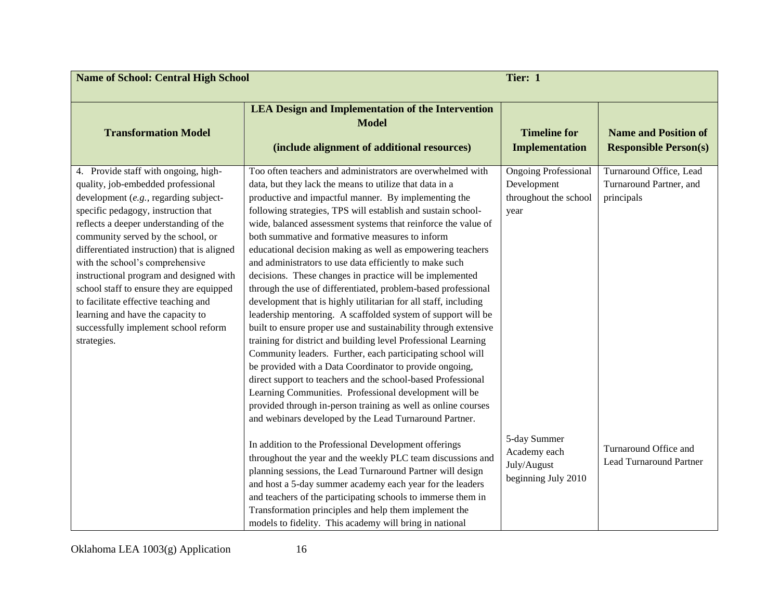| <b>Name of School: Central High School</b>                                                                                                                                                                                                                                                                                                                                                                                                                                                                                                              |                                                                                                                                                                                                                                                                                                                                                                                                                                                                                                                                                                                                                                                                                                                                                                                                                                                                                                                                                                                                                                                                                                                                                                                                                                                                               | Tier: 1                                                                     |                                                                  |
|---------------------------------------------------------------------------------------------------------------------------------------------------------------------------------------------------------------------------------------------------------------------------------------------------------------------------------------------------------------------------------------------------------------------------------------------------------------------------------------------------------------------------------------------------------|-------------------------------------------------------------------------------------------------------------------------------------------------------------------------------------------------------------------------------------------------------------------------------------------------------------------------------------------------------------------------------------------------------------------------------------------------------------------------------------------------------------------------------------------------------------------------------------------------------------------------------------------------------------------------------------------------------------------------------------------------------------------------------------------------------------------------------------------------------------------------------------------------------------------------------------------------------------------------------------------------------------------------------------------------------------------------------------------------------------------------------------------------------------------------------------------------------------------------------------------------------------------------------|-----------------------------------------------------------------------------|------------------------------------------------------------------|
| <b>Transformation Model</b>                                                                                                                                                                                                                                                                                                                                                                                                                                                                                                                             | <b>LEA Design and Implementation of the Intervention</b><br><b>Model</b><br>(include alignment of additional resources)                                                                                                                                                                                                                                                                                                                                                                                                                                                                                                                                                                                                                                                                                                                                                                                                                                                                                                                                                                                                                                                                                                                                                       | <b>Timeline for</b><br><b>Implementation</b>                                | <b>Name and Position of</b><br><b>Responsible Person(s)</b>      |
| 4. Provide staff with ongoing, high-<br>quality, job-embedded professional<br>development (e.g., regarding subject-<br>specific pedagogy, instruction that<br>reflects a deeper understanding of the<br>community served by the school, or<br>differentiated instruction) that is aligned<br>with the school's comprehensive<br>instructional program and designed with<br>school staff to ensure they are equipped<br>to facilitate effective teaching and<br>learning and have the capacity to<br>successfully implement school reform<br>strategies. | Too often teachers and administrators are overwhelmed with<br>data, but they lack the means to utilize that data in a<br>productive and impactful manner. By implementing the<br>following strategies, TPS will establish and sustain school-<br>wide, balanced assessment systems that reinforce the value of<br>both summative and formative measures to inform<br>educational decision making as well as empowering teachers<br>and administrators to use data efficiently to make such<br>decisions. These changes in practice will be implemented<br>through the use of differentiated, problem-based professional<br>development that is highly utilitarian for all staff, including<br>leadership mentoring. A scaffolded system of support will be<br>built to ensure proper use and sustainability through extensive<br>training for district and building level Professional Learning<br>Community leaders. Further, each participating school will<br>be provided with a Data Coordinator to provide ongoing,<br>direct support to teachers and the school-based Professional<br>Learning Communities. Professional development will be<br>provided through in-person training as well as online courses<br>and webinars developed by the Lead Turnaround Partner. | <b>Ongoing Professional</b><br>Development<br>throughout the school<br>year | Turnaround Office, Lead<br>Turnaround Partner, and<br>principals |
|                                                                                                                                                                                                                                                                                                                                                                                                                                                                                                                                                         | In addition to the Professional Development offerings<br>throughout the year and the weekly PLC team discussions and<br>planning sessions, the Lead Turnaround Partner will design<br>and host a 5-day summer academy each year for the leaders<br>and teachers of the participating schools to immerse them in<br>Transformation principles and help them implement the<br>models to fidelity. This academy will bring in national                                                                                                                                                                                                                                                                                                                                                                                                                                                                                                                                                                                                                                                                                                                                                                                                                                           | 5-day Summer<br>Academy each<br>July/August<br>beginning July 2010          | Turnaround Office and<br><b>Lead Turnaround Partner</b>          |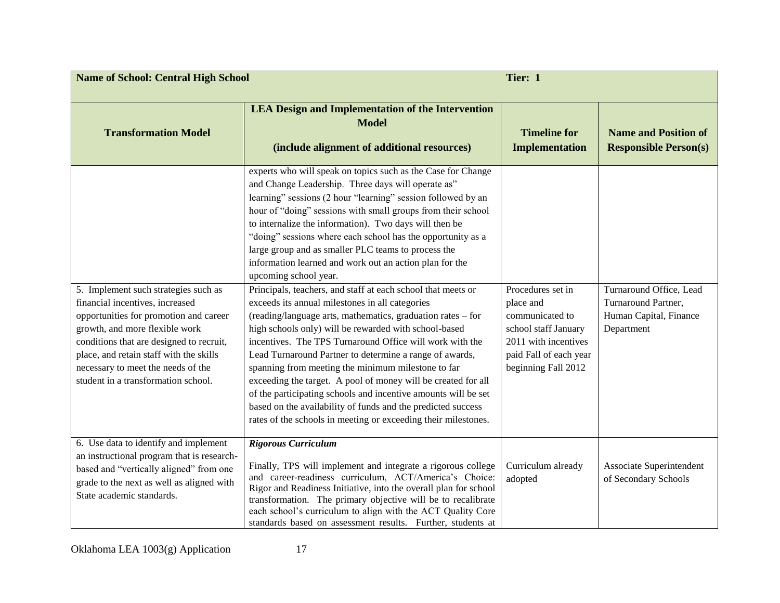| Tier: 1<br><b>Name of School: Central High School</b>                                                                                                                                                                                                                                                                   |                                                                                                                                                                                                                                                                                                                                                                                                                                                                                                                                                                                                                                                                                                                                                                                                                                                                                                                                                                                                                                                                                                                                                                                                                     |                                                                                                                                                    |                                                                                        |
|-------------------------------------------------------------------------------------------------------------------------------------------------------------------------------------------------------------------------------------------------------------------------------------------------------------------------|---------------------------------------------------------------------------------------------------------------------------------------------------------------------------------------------------------------------------------------------------------------------------------------------------------------------------------------------------------------------------------------------------------------------------------------------------------------------------------------------------------------------------------------------------------------------------------------------------------------------------------------------------------------------------------------------------------------------------------------------------------------------------------------------------------------------------------------------------------------------------------------------------------------------------------------------------------------------------------------------------------------------------------------------------------------------------------------------------------------------------------------------------------------------------------------------------------------------|----------------------------------------------------------------------------------------------------------------------------------------------------|----------------------------------------------------------------------------------------|
| <b>Transformation Model</b>                                                                                                                                                                                                                                                                                             | <b>LEA Design and Implementation of the Intervention</b><br><b>Model</b><br>(include alignment of additional resources)                                                                                                                                                                                                                                                                                                                                                                                                                                                                                                                                                                                                                                                                                                                                                                                                                                                                                                                                                                                                                                                                                             | <b>Timeline for</b><br><b>Implementation</b>                                                                                                       | <b>Name and Position of</b><br><b>Responsible Person(s)</b>                            |
| 5. Implement such strategies such as<br>financial incentives, increased<br>opportunities for promotion and career<br>growth, and more flexible work<br>conditions that are designed to recruit,<br>place, and retain staff with the skills<br>necessary to meet the needs of the<br>student in a transformation school. | experts who will speak on topics such as the Case for Change<br>and Change Leadership. Three days will operate as"<br>learning" sessions (2 hour "learning" session followed by an<br>hour of "doing" sessions with small groups from their school<br>to internalize the information). Two days will then be<br>"doing" sessions where each school has the opportunity as a<br>large group and as smaller PLC teams to process the<br>information learned and work out an action plan for the<br>upcoming school year.<br>Principals, teachers, and staff at each school that meets or<br>exceeds its annual milestones in all categories<br>(reading/language arts, mathematics, graduation rates - for<br>high schools only) will be rewarded with school-based<br>incentives. The TPS Turnaround Office will work with the<br>Lead Turnaround Partner to determine a range of awards,<br>spanning from meeting the minimum milestone to far<br>exceeding the target. A pool of money will be created for all<br>of the participating schools and incentive amounts will be set<br>based on the availability of funds and the predicted success<br>rates of the schools in meeting or exceeding their milestones. | Procedures set in<br>place and<br>communicated to<br>school staff January<br>2011 with incentives<br>paid Fall of each year<br>beginning Fall 2012 | Turnaround Office, Lead<br>Turnaround Partner,<br>Human Capital, Finance<br>Department |
| 6. Use data to identify and implement<br>an instructional program that is research-<br>based and "vertically aligned" from one<br>grade to the next as well as aligned with<br>State academic standards.                                                                                                                | <b>Rigorous Curriculum</b><br>Finally, TPS will implement and integrate a rigorous college<br>and career-readiness curriculum, ACT/America's Choice:<br>Rigor and Readiness Initiative, into the overall plan for school<br>transformation. The primary objective will be to recalibrate<br>each school's curriculum to align with the ACT Quality Core<br>standards based on assessment results. Further, students at                                                                                                                                                                                                                                                                                                                                                                                                                                                                                                                                                                                                                                                                                                                                                                                              | Curriculum already<br>adopted                                                                                                                      | Associate Superintendent<br>of Secondary Schools                                       |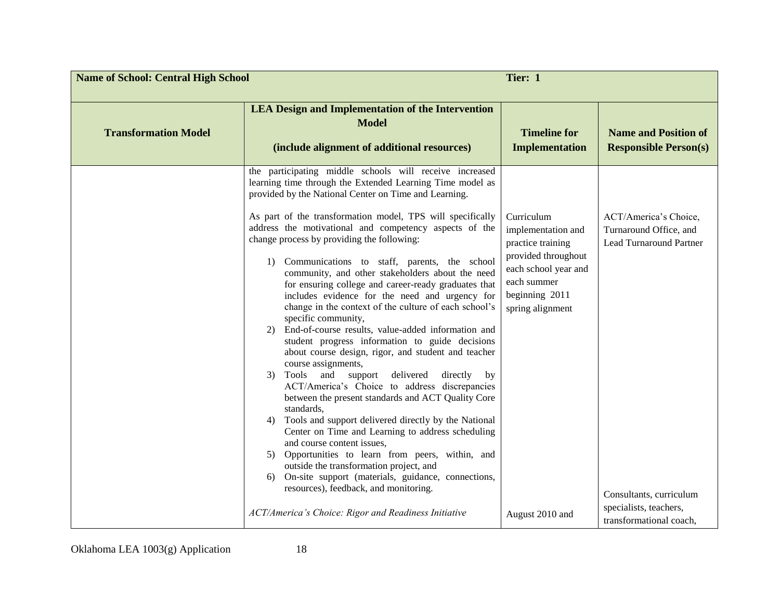| Tier: 1<br><b>Name of School: Central High School</b> |                                                                                                                                                                                                                                                                                                                                                                                                                                                                                                                                                                                                                                                                                                                     |                                                                                                                                                           |                                                                                   |
|-------------------------------------------------------|---------------------------------------------------------------------------------------------------------------------------------------------------------------------------------------------------------------------------------------------------------------------------------------------------------------------------------------------------------------------------------------------------------------------------------------------------------------------------------------------------------------------------------------------------------------------------------------------------------------------------------------------------------------------------------------------------------------------|-----------------------------------------------------------------------------------------------------------------------------------------------------------|-----------------------------------------------------------------------------------|
| <b>Transformation Model</b>                           | <b>LEA Design and Implementation of the Intervention</b><br><b>Model</b><br>(include alignment of additional resources)                                                                                                                                                                                                                                                                                                                                                                                                                                                                                                                                                                                             | <b>Timeline for</b><br><b>Implementation</b>                                                                                                              | <b>Name and Position of</b><br><b>Responsible Person(s)</b>                       |
|                                                       | the participating middle schools will receive increased<br>learning time through the Extended Learning Time model as<br>provided by the National Center on Time and Learning.<br>As part of the transformation model, TPS will specifically<br>address the motivational and competency aspects of the<br>change process by providing the following:<br>Communications to staff, parents, the school<br>1)<br>community, and other stakeholders about the need<br>for ensuring college and career-ready graduates that<br>includes evidence for the need and urgency for<br>change in the context of the culture of each school's<br>specific community,<br>End-of-course results, value-added information and<br>2) | Curriculum<br>implementation and<br>practice training<br>provided throughout<br>each school year and<br>each summer<br>beginning 2011<br>spring alignment | ACT/America's Choice,<br>Turnaround Office, and<br><b>Lead Turnaround Partner</b> |
|                                                       | student progress information to guide decisions<br>about course design, rigor, and student and teacher<br>course assignments,<br>Tools and support<br>delivered<br>directly<br>3)<br>by<br>ACT/America's Choice to address discrepancies<br>between the present standards and ACT Quality Core<br>standards,<br>Tools and support delivered directly by the National<br>4)<br>Center on Time and Learning to address scheduling<br>and course content issues,<br>Opportunities to learn from peers, within, and<br>5)<br>outside the transformation project, and<br>On-site support (materials, guidance, connections,<br>6)<br>resources), feedback, and monitoring.                                               |                                                                                                                                                           | Consultants, curriculum                                                           |
|                                                       | ACT/America's Choice: Rigor and Readiness Initiative                                                                                                                                                                                                                                                                                                                                                                                                                                                                                                                                                                                                                                                                | August 2010 and                                                                                                                                           | specialists, teachers,<br>transformational coach,                                 |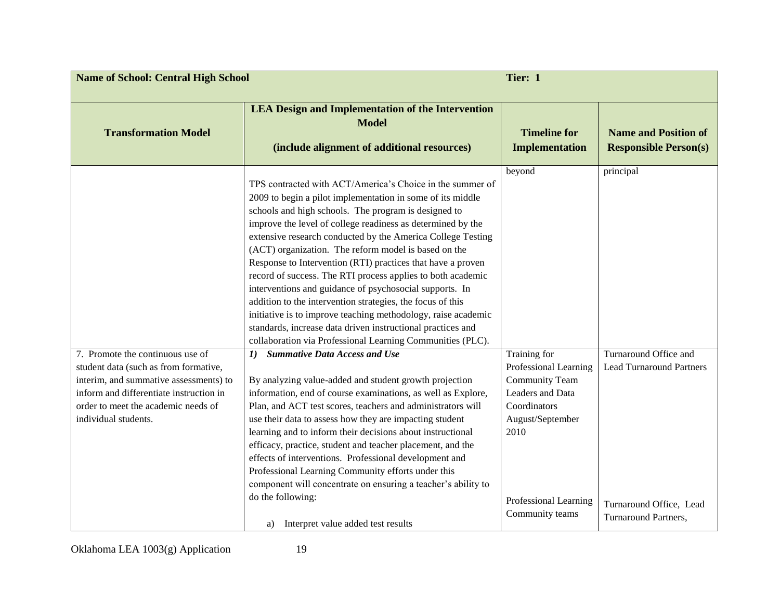| Tier: 1<br><b>Name of School: Central High School</b>                                                                                                                                                                         |                                                                                                                                                                                                                                                                                                                                                                                                                                                                                                                                                                                                                                                                                                                                                                                                                            |                                                                                                                                                                            |                                                                                                             |
|-------------------------------------------------------------------------------------------------------------------------------------------------------------------------------------------------------------------------------|----------------------------------------------------------------------------------------------------------------------------------------------------------------------------------------------------------------------------------------------------------------------------------------------------------------------------------------------------------------------------------------------------------------------------------------------------------------------------------------------------------------------------------------------------------------------------------------------------------------------------------------------------------------------------------------------------------------------------------------------------------------------------------------------------------------------------|----------------------------------------------------------------------------------------------------------------------------------------------------------------------------|-------------------------------------------------------------------------------------------------------------|
| <b>Transformation Model</b>                                                                                                                                                                                                   | <b>LEA Design and Implementation of the Intervention</b><br><b>Model</b><br>(include alignment of additional resources)                                                                                                                                                                                                                                                                                                                                                                                                                                                                                                                                                                                                                                                                                                    | <b>Timeline for</b><br><b>Implementation</b>                                                                                                                               | <b>Name and Position of</b><br><b>Responsible Person(s)</b>                                                 |
|                                                                                                                                                                                                                               | TPS contracted with ACT/America's Choice in the summer of<br>2009 to begin a pilot implementation in some of its middle<br>schools and high schools. The program is designed to<br>improve the level of college readiness as determined by the<br>extensive research conducted by the America College Testing<br>(ACT) organization. The reform model is based on the<br>Response to Intervention (RTI) practices that have a proven<br>record of success. The RTI process applies to both academic<br>interventions and guidance of psychosocial supports. In<br>addition to the intervention strategies, the focus of this<br>initiative is to improve teaching methodology, raise academic<br>standards, increase data driven instructional practices and<br>collaboration via Professional Learning Communities (PLC). | beyond                                                                                                                                                                     | principal                                                                                                   |
| 7. Promote the continuous use of<br>student data (such as from formative,<br>interim, and summative assessments) to<br>inform and differentiate instruction in<br>order to meet the academic needs of<br>individual students. | <b>Summative Data Access and Use</b><br>$\mathbf{I}$<br>By analyzing value-added and student growth projection<br>information, end of course examinations, as well as Explore,<br>Plan, and ACT test scores, teachers and administrators will<br>use their data to assess how they are impacting student<br>learning and to inform their decisions about instructional<br>efficacy, practice, student and teacher placement, and the<br>effects of interventions. Professional development and<br>Professional Learning Community efforts under this<br>component will concentrate on ensuring a teacher's ability to<br>do the following:<br>Interpret value added test results<br>a)                                                                                                                                     | Training for<br>Professional Learning<br><b>Community Team</b><br>Leaders and Data<br>Coordinators<br>August/September<br>2010<br>Professional Learning<br>Community teams | Turnaround Office and<br><b>Lead Turnaround Partners</b><br>Turnaround Office, Lead<br>Turnaround Partners, |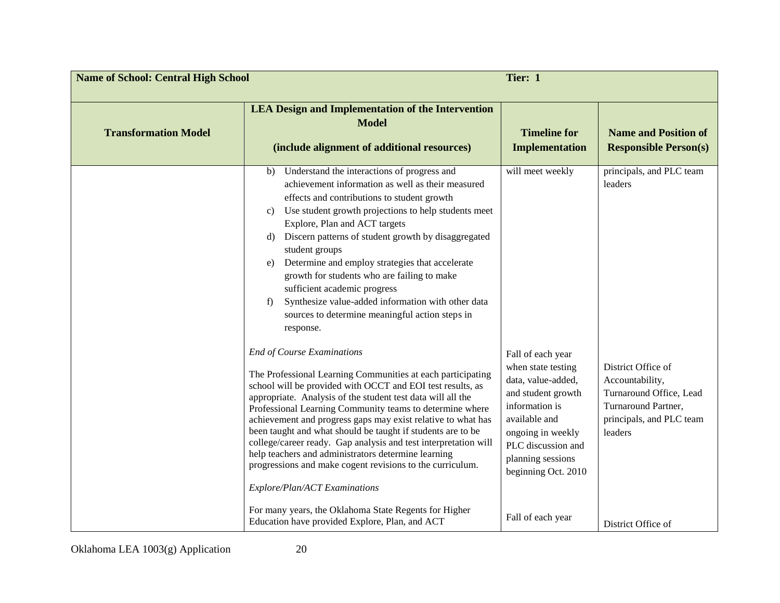| <b>Name of School: Central High School</b> | Tier: 1                                                                                                                                                                                                                                                                                                                                                                                                                                                                                                                                                                                                                                                                                                   |                                                                                                                                                                                                               |                                                                                                                                |
|--------------------------------------------|-----------------------------------------------------------------------------------------------------------------------------------------------------------------------------------------------------------------------------------------------------------------------------------------------------------------------------------------------------------------------------------------------------------------------------------------------------------------------------------------------------------------------------------------------------------------------------------------------------------------------------------------------------------------------------------------------------------|---------------------------------------------------------------------------------------------------------------------------------------------------------------------------------------------------------------|--------------------------------------------------------------------------------------------------------------------------------|
| <b>Transformation Model</b>                | <b>LEA Design and Implementation of the Intervention</b><br><b>Model</b><br>(include alignment of additional resources)                                                                                                                                                                                                                                                                                                                                                                                                                                                                                                                                                                                   | <b>Timeline for</b><br><b>Implementation</b>                                                                                                                                                                  | <b>Name and Position of</b><br><b>Responsible Person(s)</b>                                                                    |
|                                            | Understand the interactions of progress and<br>b)<br>achievement information as well as their measured<br>effects and contributions to student growth<br>Use student growth projections to help students meet<br>C)<br>Explore, Plan and ACT targets<br>Discern patterns of student growth by disaggregated<br>d)<br>student groups<br>Determine and employ strategies that accelerate<br>e)<br>growth for students who are failing to make<br>sufficient academic progress<br>Synthesize value-added information with other data<br>f)<br>sources to determine meaningful action steps in<br>response.                                                                                                   | will meet weekly                                                                                                                                                                                              | principals, and PLC team<br>leaders                                                                                            |
|                                            | <b>End of Course Examinations</b><br>The Professional Learning Communities at each participating<br>school will be provided with OCCT and EOI test results, as<br>appropriate. Analysis of the student test data will all the<br>Professional Learning Community teams to determine where<br>achievement and progress gaps may exist relative to what has<br>been taught and what should be taught if students are to be<br>college/career ready. Gap analysis and test interpretation will<br>help teachers and administrators determine learning<br>progressions and make cogent revisions to the curriculum.<br>Explore/Plan/ACT Examinations<br>For many years, the Oklahoma State Regents for Higher | Fall of each year<br>when state testing<br>data, value-added,<br>and student growth<br>information is<br>available and<br>ongoing in weekly<br>PLC discussion and<br>planning sessions<br>beginning Oct. 2010 | District Office of<br>Accountability,<br>Turnaround Office, Lead<br>Turnaround Partner,<br>principals, and PLC team<br>leaders |
|                                            | Education have provided Explore, Plan, and ACT                                                                                                                                                                                                                                                                                                                                                                                                                                                                                                                                                                                                                                                            | Fall of each year                                                                                                                                                                                             | District Office of                                                                                                             |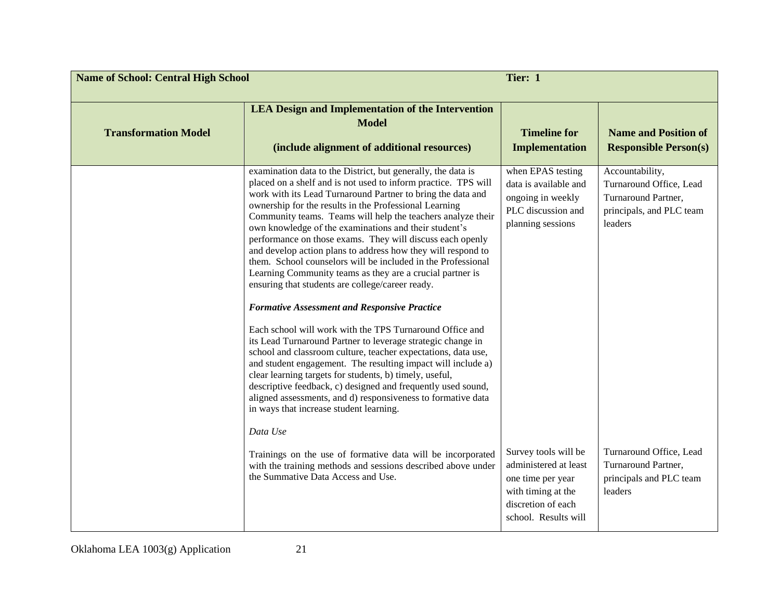| <b>Name of School: Central High School</b><br>Tier: 1 |                                                                                                                                                                                                                                                                                                                                                                                                                                                                                                                                                                                                                                                                                                                                                                                                                                                                                                                                                                                                                                                                                                                                                                                                                                                                    |                                                                                                                                        |                                                                                                          |
|-------------------------------------------------------|--------------------------------------------------------------------------------------------------------------------------------------------------------------------------------------------------------------------------------------------------------------------------------------------------------------------------------------------------------------------------------------------------------------------------------------------------------------------------------------------------------------------------------------------------------------------------------------------------------------------------------------------------------------------------------------------------------------------------------------------------------------------------------------------------------------------------------------------------------------------------------------------------------------------------------------------------------------------------------------------------------------------------------------------------------------------------------------------------------------------------------------------------------------------------------------------------------------------------------------------------------------------|----------------------------------------------------------------------------------------------------------------------------------------|----------------------------------------------------------------------------------------------------------|
| <b>Transformation Model</b>                           | <b>LEA Design and Implementation of the Intervention</b><br><b>Model</b><br>(include alignment of additional resources)                                                                                                                                                                                                                                                                                                                                                                                                                                                                                                                                                                                                                                                                                                                                                                                                                                                                                                                                                                                                                                                                                                                                            | <b>Timeline for</b><br><b>Implementation</b>                                                                                           | <b>Name and Position of</b><br><b>Responsible Person(s)</b>                                              |
|                                                       | examination data to the District, but generally, the data is<br>placed on a shelf and is not used to inform practice. TPS will<br>work with its Lead Turnaround Partner to bring the data and<br>ownership for the results in the Professional Learning<br>Community teams. Teams will help the teachers analyze their<br>own knowledge of the examinations and their student's<br>performance on those exams. They will discuss each openly<br>and develop action plans to address how they will respond to<br>them. School counselors will be included in the Professional<br>Learning Community teams as they are a crucial partner is<br>ensuring that students are college/career ready.<br><b>Formative Assessment and Responsive Practice</b><br>Each school will work with the TPS Turnaround Office and<br>its Lead Turnaround Partner to leverage strategic change in<br>school and classroom culture, teacher expectations, data use,<br>and student engagement. The resulting impact will include a)<br>clear learning targets for students, b) timely, useful,<br>descriptive feedback, c) designed and frequently used sound,<br>aligned assessments, and d) responsiveness to formative data<br>in ways that increase student learning.<br>Data Use | when EPAS testing<br>data is available and<br>ongoing in weekly<br>PLC discussion and<br>planning sessions                             | Accountability,<br>Turnaround Office, Lead<br>Turnaround Partner,<br>principals, and PLC team<br>leaders |
|                                                       | Trainings on the use of formative data will be incorporated<br>with the training methods and sessions described above under<br>the Summative Data Access and Use.                                                                                                                                                                                                                                                                                                                                                                                                                                                                                                                                                                                                                                                                                                                                                                                                                                                                                                                                                                                                                                                                                                  | Survey tools will be<br>administered at least<br>one time per year<br>with timing at the<br>discretion of each<br>school. Results will | Turnaround Office, Lead<br>Turnaround Partner,<br>principals and PLC team<br>leaders                     |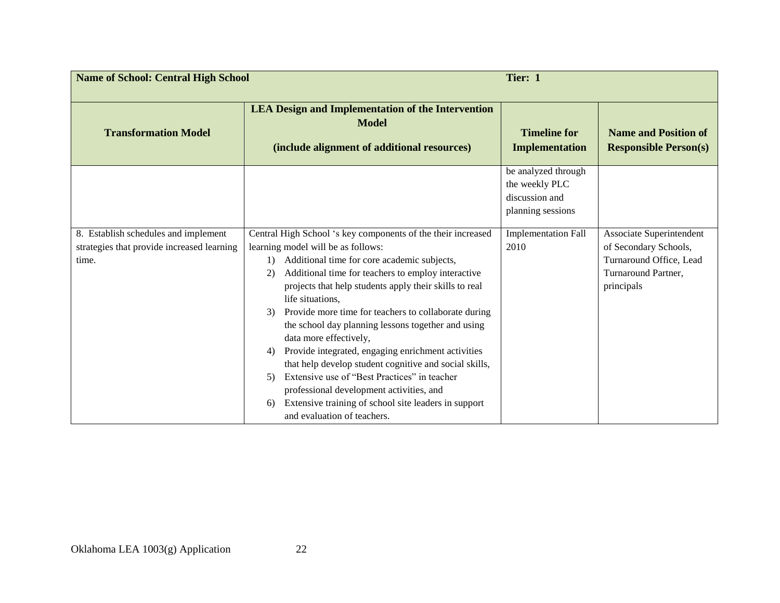| <b>Name of School: Central High School</b>                                                  |                                                                                                                                                                                                                                                                                                                                                                                                                                                                                                                                                                                                                                                                                                                                                                      | Tier: 1                                                                      |                                                                                                                   |
|---------------------------------------------------------------------------------------------|----------------------------------------------------------------------------------------------------------------------------------------------------------------------------------------------------------------------------------------------------------------------------------------------------------------------------------------------------------------------------------------------------------------------------------------------------------------------------------------------------------------------------------------------------------------------------------------------------------------------------------------------------------------------------------------------------------------------------------------------------------------------|------------------------------------------------------------------------------|-------------------------------------------------------------------------------------------------------------------|
| <b>Transformation Model</b>                                                                 | <b>LEA Design and Implementation of the Intervention</b><br><b>Model</b><br>(include alignment of additional resources)                                                                                                                                                                                                                                                                                                                                                                                                                                                                                                                                                                                                                                              | <b>Timeline for</b><br>Implementation                                        | <b>Name and Position of</b><br><b>Responsible Person(s)</b>                                                       |
|                                                                                             |                                                                                                                                                                                                                                                                                                                                                                                                                                                                                                                                                                                                                                                                                                                                                                      | be analyzed through<br>the weekly PLC<br>discussion and<br>planning sessions |                                                                                                                   |
| 8. Establish schedules and implement<br>strategies that provide increased learning<br>time. | Central High School 's key components of the their increased<br>learning model will be as follows:<br>Additional time for core academic subjects,<br>1)<br>Additional time for teachers to employ interactive<br>2)<br>projects that help students apply their skills to real<br>life situations,<br>Provide more time for teachers to collaborate during<br>3)<br>the school day planning lessons together and using<br>data more effectively,<br>Provide integrated, engaging enrichment activities<br>4)<br>that help develop student cognitive and social skills,<br>Extensive use of "Best Practices" in teacher<br>5)<br>professional development activities, and<br>Extensive training of school site leaders in support<br>6)<br>and evaluation of teachers. | <b>Implementation Fall</b><br>2010                                           | Associate Superintendent<br>of Secondary Schools,<br>Turnaround Office, Lead<br>Turnaround Partner,<br>principals |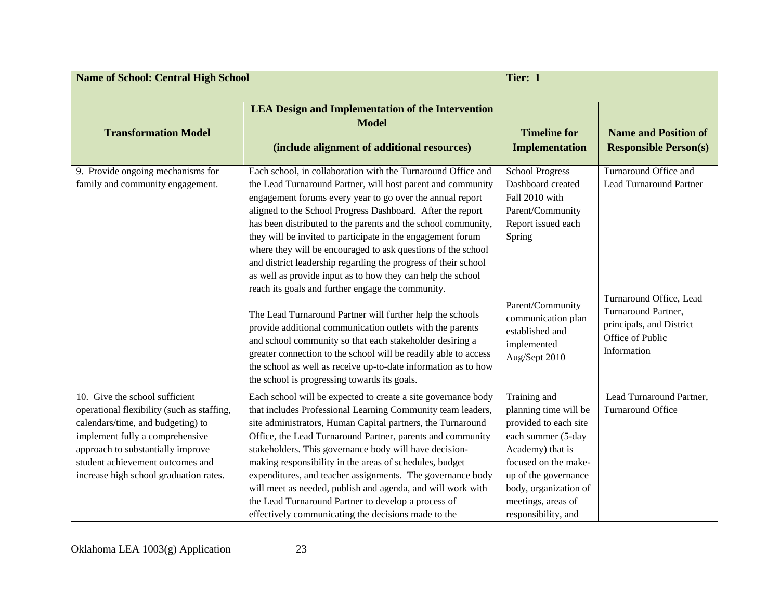| <b>Name of School: Central High School</b>                                                                                                                                                                                                                              |                                                                                                                                                                                                                                                                                                                                                                                                                                                                                                                                                                                                                                                                                                           | Tier: 1                                                                                                                                                                                                                        |                                                                                                           |
|-------------------------------------------------------------------------------------------------------------------------------------------------------------------------------------------------------------------------------------------------------------------------|-----------------------------------------------------------------------------------------------------------------------------------------------------------------------------------------------------------------------------------------------------------------------------------------------------------------------------------------------------------------------------------------------------------------------------------------------------------------------------------------------------------------------------------------------------------------------------------------------------------------------------------------------------------------------------------------------------------|--------------------------------------------------------------------------------------------------------------------------------------------------------------------------------------------------------------------------------|-----------------------------------------------------------------------------------------------------------|
| <b>Transformation Model</b>                                                                                                                                                                                                                                             | <b>LEA Design and Implementation of the Intervention</b><br><b>Model</b><br>(include alignment of additional resources)                                                                                                                                                                                                                                                                                                                                                                                                                                                                                                                                                                                   | <b>Timeline for</b><br><b>Implementation</b>                                                                                                                                                                                   | <b>Name and Position of</b><br><b>Responsible Person(s)</b>                                               |
| 9. Provide ongoing mechanisms for<br>family and community engagement.                                                                                                                                                                                                   | Each school, in collaboration with the Turnaround Office and<br>the Lead Turnaround Partner, will host parent and community<br>engagement forums every year to go over the annual report<br>aligned to the School Progress Dashboard. After the report<br>has been distributed to the parents and the school community,<br>they will be invited to participate in the engagement forum<br>where they will be encouraged to ask questions of the school<br>and district leadership regarding the progress of their school<br>as well as provide input as to how they can help the school<br>reach its goals and further engage the community.<br>The Lead Turnaround Partner will further help the schools | <b>School Progress</b><br>Dashboard created<br>Fall 2010 with<br>Parent/Community<br>Report issued each<br>Spring<br>Parent/Community<br>communication plan                                                                    | Turnaround Office and<br><b>Lead Turnaround Partner</b><br>Turnaround Office, Lead<br>Turnaround Partner, |
|                                                                                                                                                                                                                                                                         | provide additional communication outlets with the parents<br>and school community so that each stakeholder desiring a<br>greater connection to the school will be readily able to access<br>the school as well as receive up-to-date information as to how<br>the school is progressing towards its goals.                                                                                                                                                                                                                                                                                                                                                                                                | established and<br>implemented<br>Aug/Sept 2010                                                                                                                                                                                | principals, and District<br>Office of Public<br>Information                                               |
| 10. Give the school sufficient<br>operational flexibility (such as staffing,<br>calendars/time, and budgeting) to<br>implement fully a comprehensive<br>approach to substantially improve<br>student achievement outcomes and<br>increase high school graduation rates. | Each school will be expected to create a site governance body<br>that includes Professional Learning Community team leaders,<br>site administrators, Human Capital partners, the Turnaround<br>Office, the Lead Turnaround Partner, parents and community<br>stakeholders. This governance body will have decision-<br>making responsibility in the areas of schedules, budget<br>expenditures, and teacher assignments. The governance body<br>will meet as needed, publish and agenda, and will work with<br>the Lead Turnaround Partner to develop a process of<br>effectively communicating the decisions made to the                                                                                 | Training and<br>planning time will be<br>provided to each site<br>each summer (5-day<br>Academy) that is<br>focused on the make-<br>up of the governance<br>body, organization of<br>meetings, areas of<br>responsibility, and | Lead Turnaround Partner,<br><b>Turnaround Office</b>                                                      |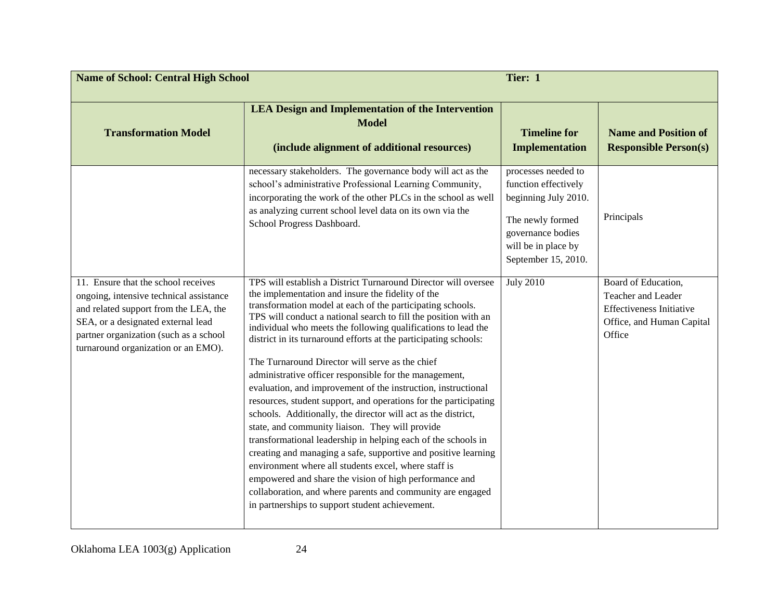| Tier: 1<br><b>Name of School: Central High School</b>                                                                                                                                                                                          |                                                                                                                                                                                                                                                                                                                                                                                                                                                                                                                                                                                                                                                                                                                                                                                                                                                                                                                                                                                                                                                                                                                                       |                                                                                                                                                            |                                                                                                                     |
|------------------------------------------------------------------------------------------------------------------------------------------------------------------------------------------------------------------------------------------------|---------------------------------------------------------------------------------------------------------------------------------------------------------------------------------------------------------------------------------------------------------------------------------------------------------------------------------------------------------------------------------------------------------------------------------------------------------------------------------------------------------------------------------------------------------------------------------------------------------------------------------------------------------------------------------------------------------------------------------------------------------------------------------------------------------------------------------------------------------------------------------------------------------------------------------------------------------------------------------------------------------------------------------------------------------------------------------------------------------------------------------------|------------------------------------------------------------------------------------------------------------------------------------------------------------|---------------------------------------------------------------------------------------------------------------------|
| <b>Transformation Model</b>                                                                                                                                                                                                                    | <b>LEA Design and Implementation of the Intervention</b><br><b>Model</b><br>(include alignment of additional resources)                                                                                                                                                                                                                                                                                                                                                                                                                                                                                                                                                                                                                                                                                                                                                                                                                                                                                                                                                                                                               | <b>Timeline for</b><br><b>Implementation</b>                                                                                                               | <b>Name and Position of</b><br><b>Responsible Person(s)</b>                                                         |
|                                                                                                                                                                                                                                                | necessary stakeholders. The governance body will act as the<br>school's administrative Professional Learning Community,<br>incorporating the work of the other PLCs in the school as well<br>as analyzing current school level data on its own via the<br>School Progress Dashboard.                                                                                                                                                                                                                                                                                                                                                                                                                                                                                                                                                                                                                                                                                                                                                                                                                                                  | processes needed to<br>function effectively<br>beginning July 2010.<br>The newly formed<br>governance bodies<br>will be in place by<br>September 15, 2010. | Principals                                                                                                          |
| 11. Ensure that the school receives<br>ongoing, intensive technical assistance<br>and related support from the LEA, the<br>SEA, or a designated external lead<br>partner organization (such as a school<br>turnaround organization or an EMO). | TPS will establish a District Turnaround Director will oversee<br>the implementation and insure the fidelity of the<br>transformation model at each of the participating schools.<br>TPS will conduct a national search to fill the position with an<br>individual who meets the following qualifications to lead the<br>district in its turnaround efforts at the participating schools:<br>The Turnaround Director will serve as the chief<br>administrative officer responsible for the management,<br>evaluation, and improvement of the instruction, instructional<br>resources, student support, and operations for the participating<br>schools. Additionally, the director will act as the district,<br>state, and community liaison. They will provide<br>transformational leadership in helping each of the schools in<br>creating and managing a safe, supportive and positive learning<br>environment where all students excel, where staff is<br>empowered and share the vision of high performance and<br>collaboration, and where parents and community are engaged<br>in partnerships to support student achievement. | <b>July 2010</b>                                                                                                                                           | Board of Education,<br>Teacher and Leader<br><b>Effectiveness Initiative</b><br>Office, and Human Capital<br>Office |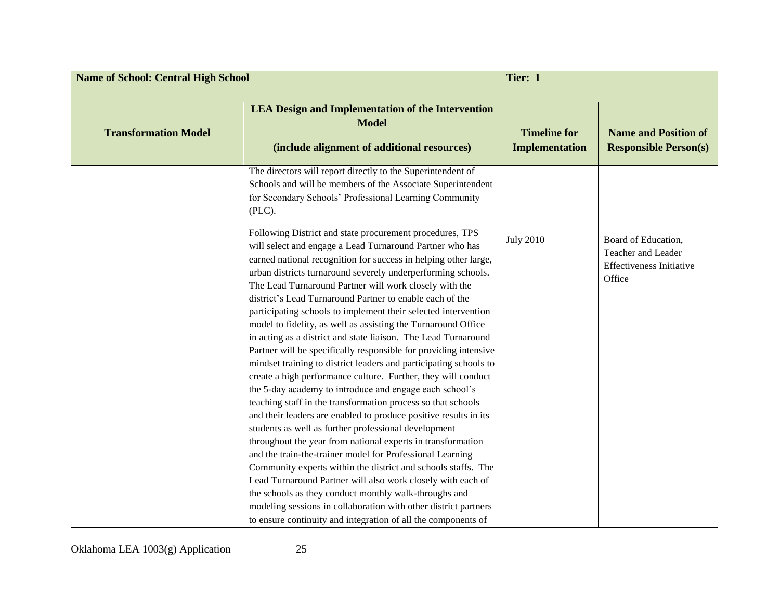| <b>Name of School: Central High School</b><br>Tier: 1 |                                                                                                                                                                                                                                                                                                                                                                                                                                                                                                                                                                                                                                                                                                                                                                                                                                                                                                                         |                                              |                                                                                        |
|-------------------------------------------------------|-------------------------------------------------------------------------------------------------------------------------------------------------------------------------------------------------------------------------------------------------------------------------------------------------------------------------------------------------------------------------------------------------------------------------------------------------------------------------------------------------------------------------------------------------------------------------------------------------------------------------------------------------------------------------------------------------------------------------------------------------------------------------------------------------------------------------------------------------------------------------------------------------------------------------|----------------------------------------------|----------------------------------------------------------------------------------------|
| <b>Transformation Model</b>                           | <b>LEA Design and Implementation of the Intervention</b><br><b>Model</b><br>(include alignment of additional resources)                                                                                                                                                                                                                                                                                                                                                                                                                                                                                                                                                                                                                                                                                                                                                                                                 | <b>Timeline for</b><br><b>Implementation</b> | <b>Name and Position of</b><br><b>Responsible Person(s)</b>                            |
|                                                       | The directors will report directly to the Superintendent of<br>Schools and will be members of the Associate Superintendent<br>for Secondary Schools' Professional Learning Community<br>(PLC).                                                                                                                                                                                                                                                                                                                                                                                                                                                                                                                                                                                                                                                                                                                          |                                              |                                                                                        |
|                                                       | Following District and state procurement procedures, TPS<br>will select and engage a Lead Turnaround Partner who has<br>earned national recognition for success in helping other large,<br>urban districts turnaround severely underperforming schools.<br>The Lead Turnaround Partner will work closely with the<br>district's Lead Turnaround Partner to enable each of the<br>participating schools to implement their selected intervention<br>model to fidelity, as well as assisting the Turnaround Office<br>in acting as a district and state liaison. The Lead Turnaround<br>Partner will be specifically responsible for providing intensive<br>mindset training to district leaders and participating schools to<br>create a high performance culture. Further, they will conduct<br>the 5-day academy to introduce and engage each school's<br>teaching staff in the transformation process so that schools | <b>July 2010</b>                             | Board of Education,<br>Teacher and Leader<br><b>Effectiveness Initiative</b><br>Office |
|                                                       | and their leaders are enabled to produce positive results in its<br>students as well as further professional development<br>throughout the year from national experts in transformation<br>and the train-the-trainer model for Professional Learning<br>Community experts within the district and schools staffs. The<br>Lead Turnaround Partner will also work closely with each of<br>the schools as they conduct monthly walk-throughs and<br>modeling sessions in collaboration with other district partners<br>to ensure continuity and integration of all the components of                                                                                                                                                                                                                                                                                                                                       |                                              |                                                                                        |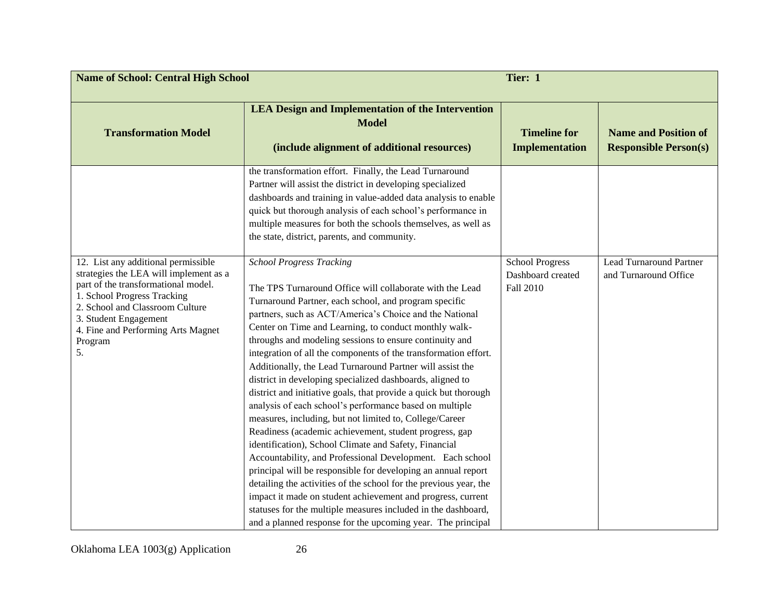| <b>Name of School: Central High School</b><br>Tier: 1                                                                                                                                                                                                                  |                                                                                                                                                                                                                                                                                                                                                                                                                                                                                                                                                                                                                                                                                                                                                                                                                                                                                                                                                                                                                                                                                                                                                                                                                                                 |                                                          |                                                             |
|------------------------------------------------------------------------------------------------------------------------------------------------------------------------------------------------------------------------------------------------------------------------|-------------------------------------------------------------------------------------------------------------------------------------------------------------------------------------------------------------------------------------------------------------------------------------------------------------------------------------------------------------------------------------------------------------------------------------------------------------------------------------------------------------------------------------------------------------------------------------------------------------------------------------------------------------------------------------------------------------------------------------------------------------------------------------------------------------------------------------------------------------------------------------------------------------------------------------------------------------------------------------------------------------------------------------------------------------------------------------------------------------------------------------------------------------------------------------------------------------------------------------------------|----------------------------------------------------------|-------------------------------------------------------------|
| <b>Transformation Model</b>                                                                                                                                                                                                                                            | <b>LEA Design and Implementation of the Intervention</b><br><b>Model</b><br>(include alignment of additional resources)                                                                                                                                                                                                                                                                                                                                                                                                                                                                                                                                                                                                                                                                                                                                                                                                                                                                                                                                                                                                                                                                                                                         | <b>Timeline for</b><br><b>Implementation</b>             | <b>Name and Position of</b><br><b>Responsible Person(s)</b> |
|                                                                                                                                                                                                                                                                        | the transformation effort. Finally, the Lead Turnaround<br>Partner will assist the district in developing specialized<br>dashboards and training in value-added data analysis to enable<br>quick but thorough analysis of each school's performance in<br>multiple measures for both the schools themselves, as well as<br>the state, district, parents, and community.                                                                                                                                                                                                                                                                                                                                                                                                                                                                                                                                                                                                                                                                                                                                                                                                                                                                         |                                                          |                                                             |
| 12. List any additional permissible<br>strategies the LEA will implement as a<br>part of the transformational model.<br>1. School Progress Tracking<br>2. School and Classroom Culture<br>3. Student Engagement<br>4. Fine and Performing Arts Magnet<br>Program<br>5. | <b>School Progress Tracking</b><br>The TPS Turnaround Office will collaborate with the Lead<br>Turnaround Partner, each school, and program specific<br>partners, such as ACT/America's Choice and the National<br>Center on Time and Learning, to conduct monthly walk-<br>throughs and modeling sessions to ensure continuity and<br>integration of all the components of the transformation effort.<br>Additionally, the Lead Turnaround Partner will assist the<br>district in developing specialized dashboards, aligned to<br>district and initiative goals, that provide a quick but thorough<br>analysis of each school's performance based on multiple<br>measures, including, but not limited to, College/Career<br>Readiness (academic achievement, student progress, gap<br>identification), School Climate and Safety, Financial<br>Accountability, and Professional Development. Each school<br>principal will be responsible for developing an annual report<br>detailing the activities of the school for the previous year, the<br>impact it made on student achievement and progress, current<br>statuses for the multiple measures included in the dashboard,<br>and a planned response for the upcoming year. The principal | <b>School Progress</b><br>Dashboard created<br>Fall 2010 | <b>Lead Turnaround Partner</b><br>and Turnaround Office     |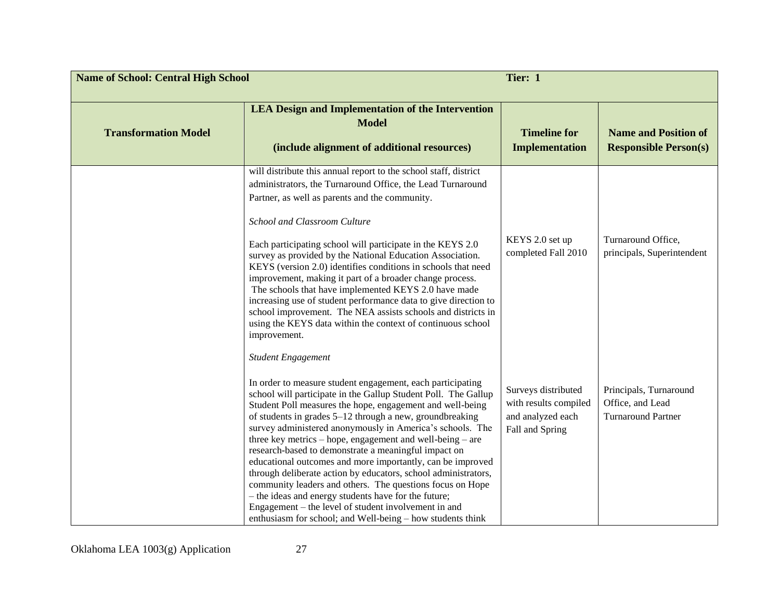| <b>Name of School: Central High School</b> |                                                                                                                                                                                                                                                                                                                                                                                                                                                                                                                                                                                                                                                                                                                                                                                                                                                 | Tier: 1                                                                              |                                                                         |
|--------------------------------------------|-------------------------------------------------------------------------------------------------------------------------------------------------------------------------------------------------------------------------------------------------------------------------------------------------------------------------------------------------------------------------------------------------------------------------------------------------------------------------------------------------------------------------------------------------------------------------------------------------------------------------------------------------------------------------------------------------------------------------------------------------------------------------------------------------------------------------------------------------|--------------------------------------------------------------------------------------|-------------------------------------------------------------------------|
| <b>Transformation Model</b>                | <b>LEA Design and Implementation of the Intervention</b><br><b>Model</b><br>(include alignment of additional resources)                                                                                                                                                                                                                                                                                                                                                                                                                                                                                                                                                                                                                                                                                                                         | <b>Timeline for</b><br><b>Implementation</b>                                         | <b>Name and Position of</b><br><b>Responsible Person(s)</b>             |
|                                            | will distribute this annual report to the school staff, district<br>administrators, the Turnaround Office, the Lead Turnaround<br>Partner, as well as parents and the community.<br>School and Classroom Culture<br>Each participating school will participate in the KEYS 2.0<br>survey as provided by the National Education Association.<br>KEYS (version 2.0) identifies conditions in schools that need<br>improvement, making it part of a broader change process.<br>The schools that have implemented KEYS 2.0 have made<br>increasing use of student performance data to give direction to<br>school improvement. The NEA assists schools and districts in<br>using the KEYS data within the context of continuous school<br>improvement.                                                                                              | KEYS 2.0 set up<br>completed Fall 2010                                               | Turnaround Office,<br>principals, Superintendent                        |
|                                            | <b>Student Engagement</b><br>In order to measure student engagement, each participating<br>school will participate in the Gallup Student Poll. The Gallup<br>Student Poll measures the hope, engagement and well-being<br>of students in grades 5-12 through a new, groundbreaking<br>survey administered anonymously in America's schools. The<br>three key metrics - hope, engagement and well-being - are<br>research-based to demonstrate a meaningful impact on<br>educational outcomes and more importantly, can be improved<br>through deliberate action by educators, school administrators,<br>community leaders and others. The questions focus on Hope<br>- the ideas and energy students have for the future;<br>Engagement – the level of student involvement in and<br>enthusiasm for school; and Well-being - how students think | Surveys distributed<br>with results compiled<br>and analyzed each<br>Fall and Spring | Principals, Turnaround<br>Office, and Lead<br><b>Turnaround Partner</b> |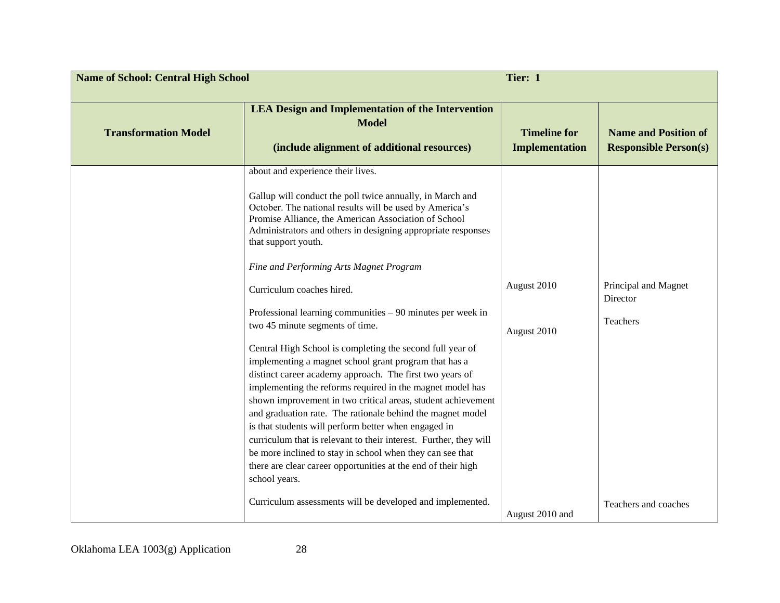| <b>Name of School: Central High School</b> |                                                                                                                                                                                                                                                                                                                                                                                                                                                                                                                                                                                                                                                                                                                                                                                                                                                                                                                                                                                                                                                                                                                                                                                                          | Tier: 1                                       |                                                                      |
|--------------------------------------------|----------------------------------------------------------------------------------------------------------------------------------------------------------------------------------------------------------------------------------------------------------------------------------------------------------------------------------------------------------------------------------------------------------------------------------------------------------------------------------------------------------------------------------------------------------------------------------------------------------------------------------------------------------------------------------------------------------------------------------------------------------------------------------------------------------------------------------------------------------------------------------------------------------------------------------------------------------------------------------------------------------------------------------------------------------------------------------------------------------------------------------------------------------------------------------------------------------|-----------------------------------------------|----------------------------------------------------------------------|
| <b>Transformation Model</b>                | <b>LEA Design and Implementation of the Intervention</b><br><b>Model</b><br>(include alignment of additional resources)                                                                                                                                                                                                                                                                                                                                                                                                                                                                                                                                                                                                                                                                                                                                                                                                                                                                                                                                                                                                                                                                                  | <b>Timeline for</b><br><b>Implementation</b>  | <b>Name and Position of</b><br><b>Responsible Person(s)</b>          |
|                                            | about and experience their lives.<br>Gallup will conduct the poll twice annually, in March and<br>October. The national results will be used by America's<br>Promise Alliance, the American Association of School<br>Administrators and others in designing appropriate responses<br>that support youth.<br>Fine and Performing Arts Magnet Program<br>Curriculum coaches hired.<br>Professional learning communities $-90$ minutes per week in<br>two 45 minute segments of time.<br>Central High School is completing the second full year of<br>implementing a magnet school grant program that has a<br>distinct career academy approach. The first two years of<br>implementing the reforms required in the magnet model has<br>shown improvement in two critical areas, student achievement<br>and graduation rate. The rationale behind the magnet model<br>is that students will perform better when engaged in<br>curriculum that is relevant to their interest. Further, they will<br>be more inclined to stay in school when they can see that<br>there are clear career opportunities at the end of their high<br>school years.<br>Curriculum assessments will be developed and implemented. | August 2010<br>August 2010<br>August 2010 and | Principal and Magnet<br>Director<br>Teachers<br>Teachers and coaches |